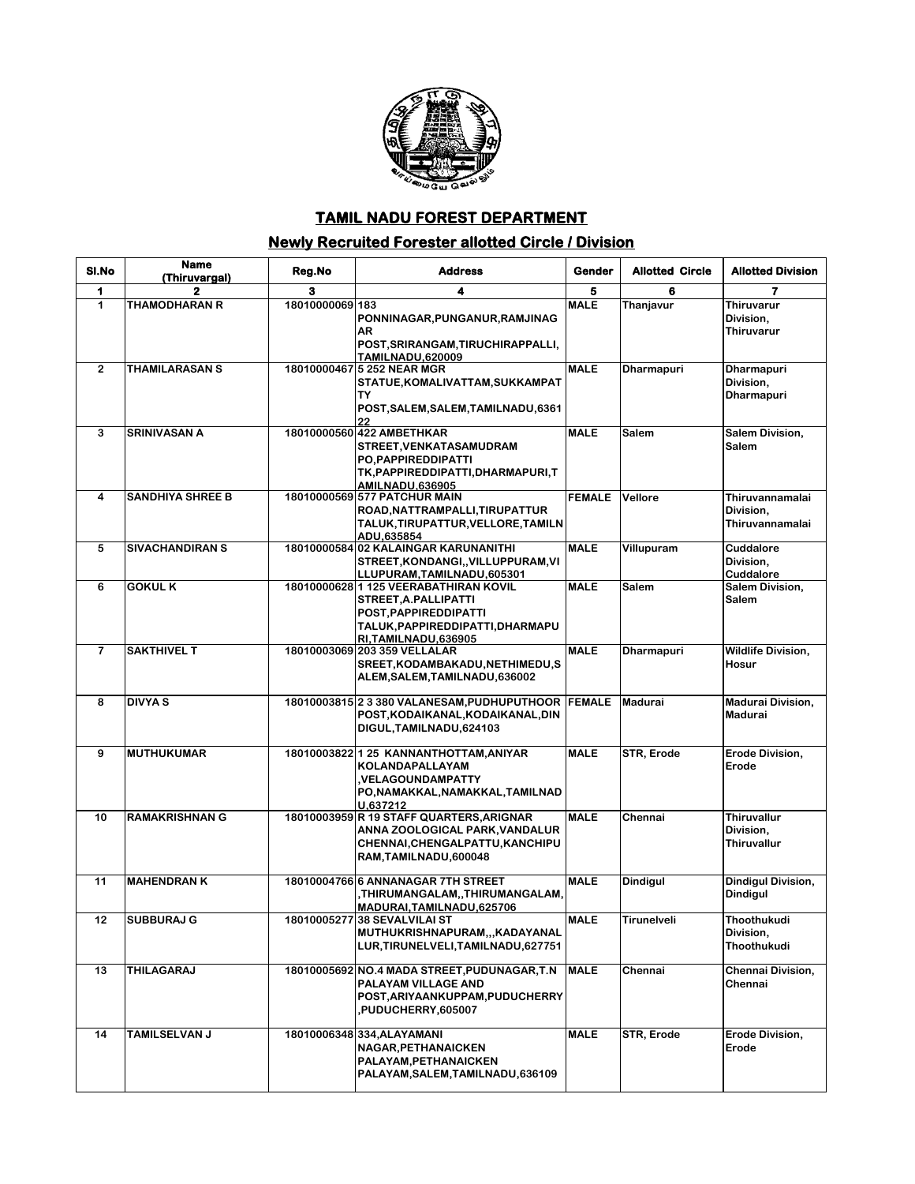

## **TAMIL NADU FOREST DEPARTMENT**

## **Newly Recruited Forester allotted Circle / Division**

| SI.No          | <b>Name</b><br>(Thiruvargal) | Reg.No          | <b>Address</b>                                                                                                                                      | Gender        | <b>Allotted Circle</b> | <b>Allotted Division</b>                              |
|----------------|------------------------------|-----------------|-----------------------------------------------------------------------------------------------------------------------------------------------------|---------------|------------------------|-------------------------------------------------------|
| 1              | 2                            | з               | 4                                                                                                                                                   | 5             | 6                      | 7                                                     |
| 1              | <b>THAMODHARAN R</b>         | 18010000069 183 | PONNINAGAR, PUNGANUR, RAMJINAG<br>AR<br>POST, SRIRANGAM, TIRUCHIRAPPALLI,<br><b>TAMILNADU.620009</b>                                                | <b>MALE</b>   | Thanjavur              | <b>Thiruvarur</b><br>Division,<br><b>Thiruvarur</b>   |
| $\overline{2}$ | <b>THAMILARASAN S</b>        |                 | 18010000467 5 252 NEAR MGR<br>STATUE, KOMALIVATTAM, SUKKAMPAT<br>TΥ<br>POST, SALEM, SALEM, TAMILNADU, 6361<br>22                                    | <b>MALE</b>   | <b>Dharmapuri</b>      | <b>Dharmapuri</b><br>Division,<br><b>Dharmapuri</b>   |
| 3              | <b>SRINIVASAN A</b>          |                 | 18010000560 422 AMBETHKAR<br>STREET, VENKATASAMUDRAM<br>PO, PAPPIREDDIPATTI<br>TK, PAPPIREDDIPATTI, DHARMAPURI, T<br><b>AMILNADU,636905</b>         | <b>MALE</b>   | Salem                  | Salem Division,<br>Salem                              |
| 4              | <b>SANDHIYA SHREE B</b>      |                 | 18010000569 577 PATCHUR MAIN<br>ROAD, NATTRAMPALLI, TIRUPATTUR<br>TALUK, TIRUPATTUR, VELLORE, TAMILN<br>ADU,635854                                  | <b>FEMALE</b> | Vellore                | Thiruvannamalai<br>Division,<br>Thiruvannamalai       |
| 5              | <b>SIVACHANDIRAN S</b>       |                 | 18010000584 02 KALAINGAR KARUNANITHI<br>STREET, KONDANGI, , VILLUPPURAM, VI<br>LLUPURAM, TAMILNADU, 605301                                          | <b>MALE</b>   | Villupuram             | Cuddalore<br>Division,<br>Cuddalore                   |
| 6              | <b>GOKULK</b>                |                 | 18010000628 1 125 VEERABATHIRAN KOVIL<br>STREET, A.PALLIPATTI<br>POST, PAPPIREDDIPATTI<br>TALUK, PAPPIREDDIPATTI, DHARMAPU<br>RI, TAMILNADU, 636905 | <b>MALE</b>   | Salem                  | Salem Division,<br>Salem                              |
| $\overline{7}$ | <b>SAKTHIVEL T</b>           |                 | 18010003069 203 359 VELLALAR<br>SREET, KODAMBAKADU, NETHIMEDU, S<br>ALEM, SALEM, TAMILNADU, 636002                                                  | <b>MALE</b>   | Dharmapuri             | <b>Wildlife Division,</b><br>Hosur                    |
| 8              | <b>DIVYA S</b>               |                 | 18010003815 2 3 380 VALANESAM, PUDHUPUTHOOR FEMALE<br>POST, KODAIKANAL, KODAIKANAL, DIN<br>DIGUL, TAMILNADU, 624103                                 |               | <b>Madurai</b>         | <b>Madurai Division,</b><br>Madurai                   |
| 9              | <b>MUTHUKUMAR</b>            |                 | 18010003822 1 25 KANNANTHOTTAM, ANIYAR<br>KOLANDAPALLAYAM<br><b>VELAGOUNDAMPATTY</b><br>PO,NAMAKKAL,NAMAKKAL,TAMILNAD<br>U.637212                   | <b>MALE</b>   | STR, Erode             | Erode Division,<br>Erode                              |
| 10             | <b>RAMAKRISHNAN G</b>        |                 | 18010003959 R 19 STAFF QUARTERS, ARIGNAR<br>ANNA ZOOLOGICAL PARK, VANDALUR<br>CHENNAI, CHENGALPATTU, KANCHIPU<br>RAM, TAMILNADU, 600048             | <b>MALE</b>   | Chennai                | <b>Thiruvallur</b><br>Division,<br><b>Thiruvallur</b> |
| 11             | <b>MAHENDRAN K</b>           |                 | 18010004766 6 ANNANAGAR 7TH STREET<br>, THIRUMANGALAM, , THIRUMANGALAM,<br>MADURAI, TAMILNADU, 625706                                               | <b>MALE</b>   | <b>Dindigul</b>        | Dindigul Division,<br><b>Dindigul</b>                 |
| 12             | <b>SUBBURAJ G</b>            |                 | 18010005277 38 SEVALVILAI ST<br>MUTHUKRISHNAPURAM,,,KADAYANAL<br>LUR, TIRUNELVELI, TAMILNADU, 627751                                                | <b>MALE</b>   | Tirunelveli            | Thoothukudi<br>Division,<br>Thoothukudi               |
| 13             | THILAGARAJ                   |                 | 18010005692 NO.4 MADA STREET, PUDUNAGAR, T.N<br>PALAYAM VILLAGE AND<br>POST, ARIYAANKUPPAM, PUDUCHERRY<br>,PUDUCHERRY,605007                        | <b>MALE</b>   | Chennai                | Chennai Division,<br>Chennai                          |
| 14             | <b>TAMILSELVAN J</b>         |                 | 18010006348334.ALAYAMANI<br>NAGAR, PETHANAICKEN<br>PALAYAM.PETHANAICKEN<br>PALAYAM, SALEM, TAMILNADU, 636109                                        | <b>MALE</b>   | STR, Erode             | Erode Division,<br>Erode                              |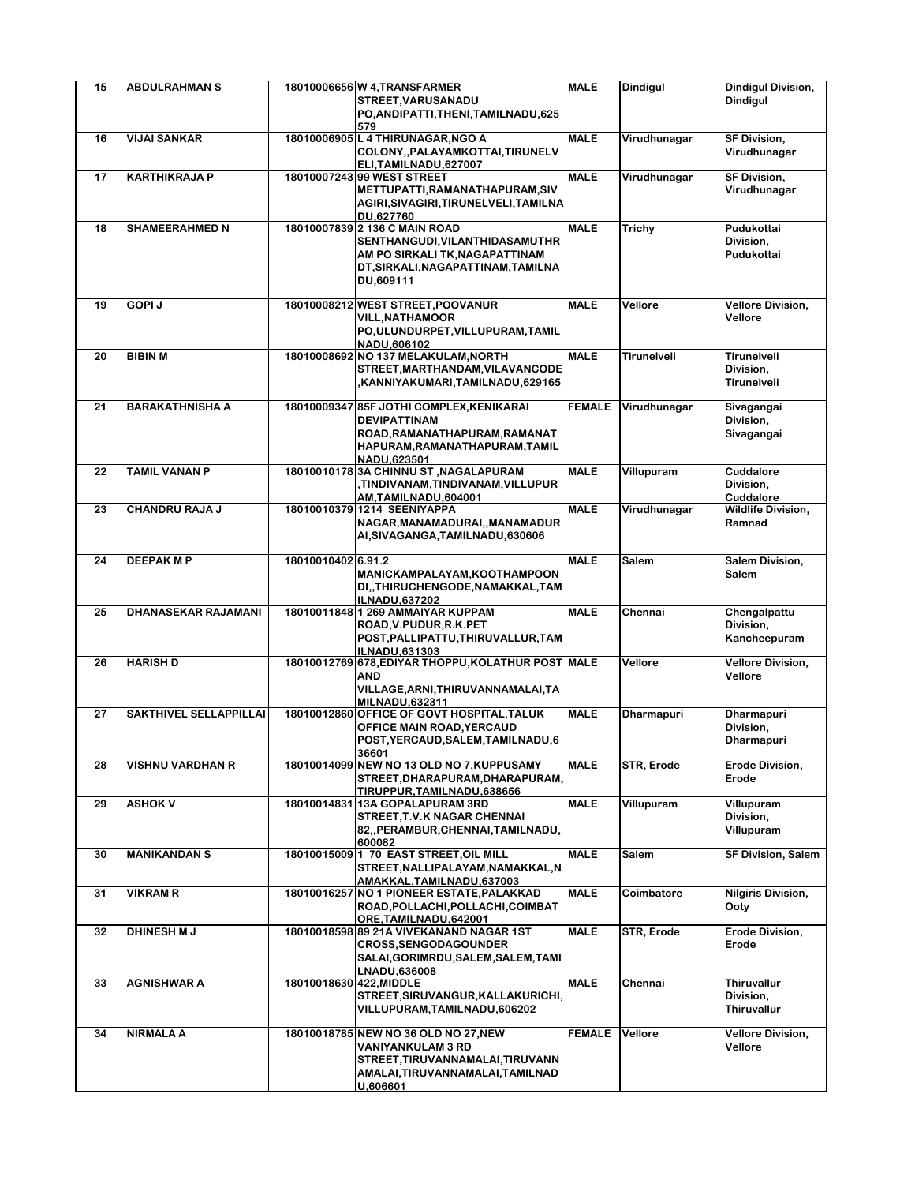| 15 | <b>ABDULRAHMAN S</b>       |                         | 18010006656 W 4, TRANSFARMER<br>STREET, VARUSANADU<br>PO, ANDIPATTI, THENI, TAMILNADU, 625                                                                      | <b>MALE</b>   | <b>Dindigul</b>   | <b>Dindigul Division,</b><br><b>Dindigul</b>        |
|----|----------------------------|-------------------------|-----------------------------------------------------------------------------------------------------------------------------------------------------------------|---------------|-------------------|-----------------------------------------------------|
| 16 | <b>VIJAI SANKAR</b>        |                         | 579<br>18010006905 L 4 THIRUNAGAR, NGO A<br>COLONY,, PALAYAMKOTTAI, TIRUNELV<br>ELI.TAMILNADU.627007                                                            | <b>MALE</b>   | Virudhunagar      | <b>SF Division,</b><br>Virudhunagar                 |
| 17 | <b>KARTHIKRAJA P</b>       |                         | 18010007243 99 WEST STREET<br>METTUPATTI, RAMANATHAPURAM, SIV<br>AGIRI, SIVAGIRI, TIRUNELVELI, TAMILNA<br>DU,627760                                             | <b>MALE</b>   | Virudhunagar      | <b>SF Division,</b><br>Virudhunagar                 |
| 18 | <b>SHAMEERAHMED N</b>      |                         | 18010007839 2 136 C MAIN ROAD<br>SENTHANGUDI, VILANTHIDASAMUTHR<br>AM PO SIRKALI TK, NAGAPATTINAM<br>DT, SIRKALI, NAGAPATTINAM, TAMILNA<br>DU.609111            | <b>MALE</b>   | Trichy            | Pudukottai<br>Division,<br>Pudukottai               |
| 19 | GOPI J                     |                         | 18010008212 WEST STREET, POOVANUR<br><b>VILL, NATHAMOOR</b><br>PO, ULUNDURPET, VILLUPURAM, TAMIL<br>NADU,606102                                                 | <b>MALE</b>   | Vellore           | <b>Vellore Division,</b><br>Vellore                 |
| 20 | <b>BIBIN M</b>             |                         | 18010008692 NO 137 MELAKULAM, NORTH<br>STREET, MARTHANDAM, VILAVANCODE<br>KANNIYAKUMARI,TAMILNADU,629165,                                                       | <b>MALE</b>   | Tirunelveli       | Tirunelveli<br>Division.<br>Tirunelveli             |
| 21 | <b>BARAKATHNISHA A</b>     |                         | 18010009347 85F JOTHI COMPLEX, KENIKARAI<br><b>DEVIPATTINAM</b><br>ROAD, RAMANATHAPURAM, RAMANAT<br>HAPURAM, RAMANATHAPURAM, TAMIL<br>NADU.623501               | <b>FEMALE</b> | Virudhunagar      | Sivagangai<br>Division,<br>Sivagangai               |
| 22 | <b>TAMIL VANAN P</b>       |                         | 18010010178 3A CHINNU ST, NAGALAPURAM<br>,TINDIVANAM,TINDIVANAM,VILLUPUR<br>AM,TAMILNADU,604001                                                                 | <b>MALE</b>   | Villupuram        | Cuddalore<br>Division,<br>Cuddalore                 |
| 23 | <b>CHANDRU RAJA J</b>      |                         | 18010010379 1214 SEENIYAPPA<br>NAGAR, MANAMADURAI,, MANAMADUR<br>AI, SIVAGANGA, TAMILNADU, 630606                                                               | <b>MALE</b>   | Virudhunagar      | <b>Wildlife Division,</b><br>Ramnad                 |
| 24 | <b>DEEPAK MP</b>           | 18010010402 6.91.2      | MANICKAMPALAYAM, KOOTHAMPOON<br>DI, THIRUCHENGODE, NAMAKKAL, TAM<br><b>ILNADU,637202</b>                                                                        | <b>MALE</b>   | Salem             | Salem Division,<br>Salem                            |
| 25 | <b>DHANASEKAR RAJAMANI</b> |                         | 18010011848 1 269 AMMAIYAR KUPPAM<br>ROAD, V.PUDUR, R.K. PET<br>POST, PALLIPATTU, THIRUVALLUR, TAM<br>ILNADU,631303                                             | <b>MALE</b>   | Chennai           | Chengalpattu<br>Division,<br>Kancheepuram           |
| 26 | <b>HARISH D</b>            |                         | 18010012769 678, EDIYAR THOPPU, KOLATHUR POST MALE<br><b>AND</b><br>VILLAGE, ARNI, THIRUVANNAMALAI, TA<br><b>MILNADU.632311</b>                                 |               | Vellore           | Vellore Division,<br>Vellore                        |
| 27 | SAKTHIVEL SELLAPPILLAI     |                         | 18010012860 OFFICE OF GOVT HOSPITAL, TALUK<br>OFFICE MAIN ROAD, YERCAUD<br>POST, YERCAUD, SALEM, TAMILNADU, 6<br>36601                                          | <b>MALE</b>   | <b>Dharmapuri</b> | <b>Dharmapuri</b><br>Division,<br><b>Dharmapuri</b> |
| 28 | VISHNU VARDHAN R           |                         | 18010014099 NEW NO 13 OLD NO 7, KUPPUSAMY<br>STREET, DHARAPURAM, DHARAPURAM,<br>TIRUPPUR.TAMILNADU.638656                                                       | <b>MALE</b>   | STR, Erode        | Erode Division,<br>Erode                            |
| 29 | <b>ASHOK V</b>             |                         | 18010014831 13A GOPALAPURAM 3RD<br>STREET, T.V.K NAGAR CHENNAI<br>82,, PERAMBUR, CHENNAI, TAMILNADU,<br>600082                                                  | <b>MALE</b>   | Villupuram        | Villupuram<br>Division,<br>Villupuram               |
| 30 | <b>MANIKANDAN S</b>        |                         | 18010015009 1 70 EAST STREET, OIL MILL<br>STREET, NALLIPALAYAM, NAMAKKAL, N<br>AMAKKAL, TAMILNADU, 637003                                                       | <b>MALE</b>   | Salem             | <b>SF Division, Salem</b>                           |
| 31 | <b>VIKRAM R</b>            |                         | 18010016257 NO 1 PIONEER ESTATE, PALAKKAD<br>ROAD, POLLACHI, POLLACHI, COIMBAT                                                                                  | <b>MALE</b>   | Coimbatore        | <b>Nilgiris Division,</b><br>Ooty                   |
| 32 | <b>DHINESH M J</b>         |                         | ORE, TAMILNADU, 642001<br>18010018598 89 21A VIVEKANAND NAGAR 1ST<br><b>CROSS, SENGODAGOUNDER</b><br>SALAI, GORIMRDU, SALEM, SALEM, TAMI<br><b>LNADU.636008</b> | <b>MALE</b>   | STR, Erode        | Erode Division,<br>Erode                            |
| 33 | AGNISHWAR A                | 18010018630 422, MIDDLE | STREET, SIRUVANGUR, KALLAKURICHI,<br>VILLUPURAM, TAMILNADU, 606202                                                                                              | <b>MALE</b>   | Chennai           | Thiruvallur<br>Division,<br><b>Thiruvallur</b>      |
| 34 | <b>NIRMALA A</b>           |                         | 18010018785 NEW NO 36 OLD NO 27, NEW<br><b>VANIYANKULAM 3 RD</b><br>STREET, TIRUVANNAMALAI, TIRUVANN<br>AMALAI, TIRUVANNAMALAI, TAMILNAD<br>U,606601            | <b>FEMALE</b> | Vellore           | <b>Vellore Division,</b><br>Vellore                 |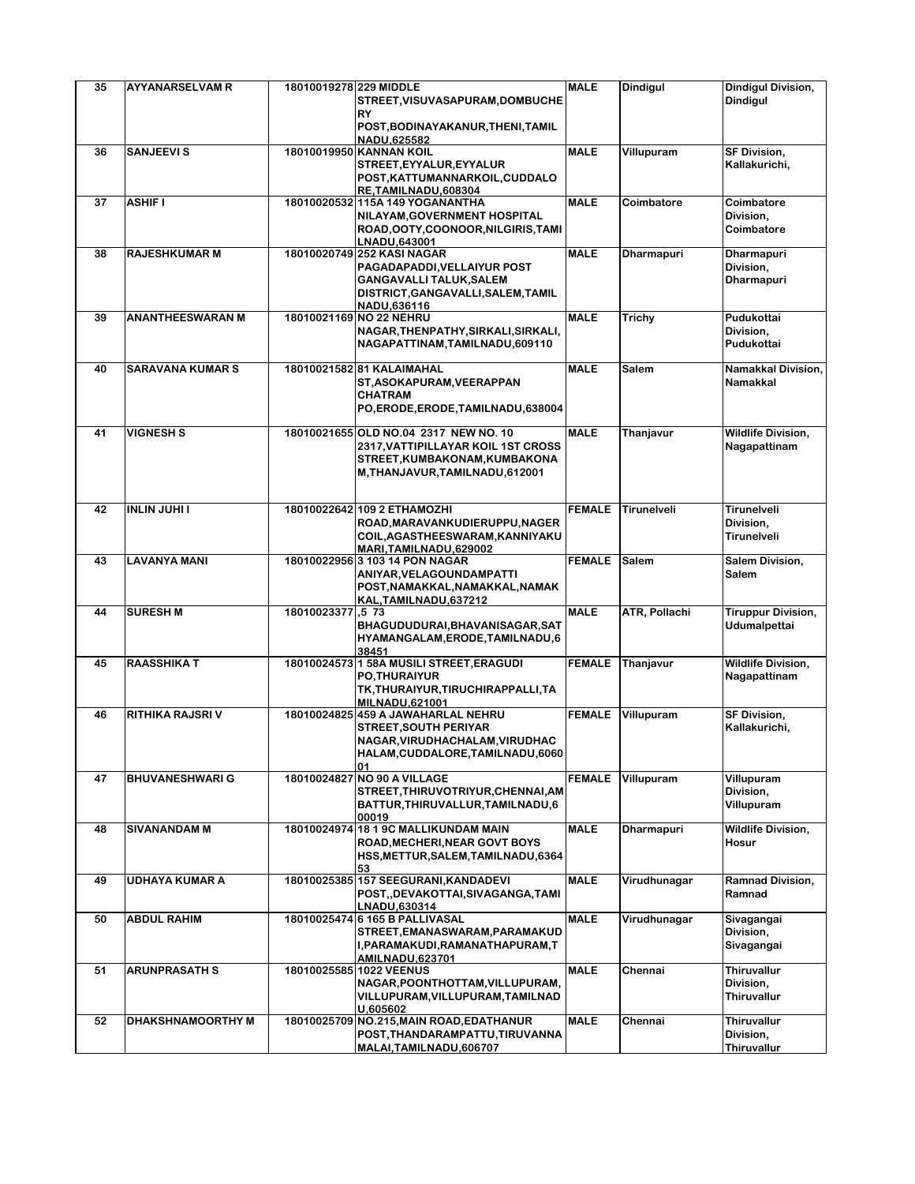| 35 | <b>AYYANARSELVAM R</b>   | 18010019278 229 MIDDLE |                                                                     | <b>MALE</b>   | <b>Dindigul</b>   | <b>Dindigul Division,</b> |
|----|--------------------------|------------------------|---------------------------------------------------------------------|---------------|-------------------|---------------------------|
|    |                          |                        | STREET, VISUVASAPURAM, DOMBUCHE<br><b>RY</b>                        |               |                   | <b>Dindigul</b>           |
|    |                          |                        | POST, BODINAYAKANUR, THENI, TAMIL                                   |               |                   |                           |
|    |                          |                        | NADU,625582                                                         |               |                   |                           |
| 36 | <b>SANJEEVI S</b>        |                        | 18010019950 KANNAN KOIL                                             | <b>MALE</b>   | Villupuram        | <b>SF Division,</b>       |
|    |                          |                        | STREET, EYYALUR, EYYALUR                                            |               |                   | Kallakurichi,             |
|    |                          |                        | POST, KATTUMANNARKOIL, CUDDALO                                      |               |                   |                           |
| 37 | <b>ASHIF I</b>           |                        | RE,TAMILNADU,608304<br>18010020532 115A 149 YOGANANTHA              | <b>MALE</b>   | Coimbatore        | Coimbatore                |
|    |                          |                        | NILAYAM, GOVERNMENT HOSPITAL                                        |               |                   | Division,                 |
|    |                          |                        | ROAD, OOTY, COONOOR, NILGIRIS, TAMI                                 |               |                   | Coimbatore                |
|    |                          |                        | LNADU,643001                                                        |               |                   |                           |
| 38 | <b>RAJESHKUMAR M</b>     |                        | 18010020749 252 KASI NAGAR                                          | <b>MALE</b>   | <b>Dharmapuri</b> | Dharmapuri                |
|    |                          |                        | PAGADAPADDI, VELLAIYUR POST                                         |               |                   | Division,                 |
|    |                          |                        | <b>GANGAVALLI TALUK, SALEM</b>                                      |               |                   | <b>Dharmapuri</b>         |
|    |                          |                        | DISTRICT, GANGAVALLI, SALEM, TAMIL<br>NADU,636116                   |               |                   |                           |
| 39 | <b>ANANTHEESWARAN M</b>  |                        | 18010021169 NO 22 NEHRU                                             | <b>MALE</b>   | Trichy            | Pudukottai                |
|    |                          |                        | NAGAR, THENPATHY, SIRKALI, SIRKALI,                                 |               |                   | Division,                 |
|    |                          |                        | NAGAPATTINAM, TAMILNADU, 609110                                     |               |                   | Pudukottai                |
|    |                          |                        |                                                                     |               |                   |                           |
| 40 | <b>SARAVANA KUMAR S</b>  |                        | 18010021582 81 KALAIMAHAL<br>ST, ASOKAPURAM, VEERAPPAN              | <b>MALE</b>   | Salem             | Namakkal Division,        |
|    |                          |                        | <b>CHATRAM</b>                                                      |               |                   | <b>Namakkal</b>           |
|    |                          |                        | PO,ERODE,ERODE,TAMILNADU,638004                                     |               |                   |                           |
|    |                          |                        |                                                                     |               |                   |                           |
| 41 | <b>VIGNESH S</b>         |                        | 18010021655 OLD NO.04 2317 NEW NO. 10                               | <b>MALE</b>   | Thanjavur         | <b>Wildlife Division,</b> |
|    |                          |                        | 2317, VATTIPILLAYAR KOIL 1ST CROSS                                  |               |                   | Nagapattinam              |
|    |                          |                        | STREET, KUMBAKONAM, KUMBAKONA                                       |               |                   |                           |
|    |                          |                        | M, THANJAVUR, TAMILNADU, 612001                                     |               |                   |                           |
|    |                          |                        |                                                                     |               |                   |                           |
| 42 | <b>INLIN JUHI I</b>      |                        | 18010022642 109 2 ETHAMOZHI                                         | <b>FEMALE</b> | Tirunelveli       | Tirunelveli               |
|    |                          |                        | ROAD, MARAVANKUDIERUPPU, NAGER                                      |               |                   | Division,                 |
|    |                          |                        | COIL, AGASTHEESWARAM, KANNIYAKU                                     |               |                   | Tirunelveli               |
| 43 | <b>LAVANYA MANI</b>      |                        | MARI, TAMILNADU, 629002<br>18010022956 3 103 14 PON NAGAR           | <b>FEMALE</b> | <b>Salem</b>      | Salem Division,           |
|    |                          |                        | ANIYAR, VELAGOUNDAMPATTI                                            |               |                   | Salem                     |
|    |                          |                        | POST, NAMAKKAL, NAMAKKAL, NAMAK                                     |               |                   |                           |
|    |                          |                        | KAL, TAMILNADU, 637212                                              |               |                   |                           |
| 44 | <b>SURESH M</b>          | 18010023377,573        |                                                                     | <b>MALE</b>   | ATR, Pollachi     | <b>Tiruppur Division,</b> |
|    |                          |                        | BHAGUDUDURAI, BHAVANISAGAR, SAT                                     |               |                   | Udumalpettai              |
|    |                          |                        | HYAMANGALAM, ERODE, TAMILNADU, 6<br>38451                           |               |                   |                           |
| 45 | <b>RAASSHIKA T</b>       |                        | 18010024573 1 58A MUSILI STREET, ERAGUDI                            | <b>FEMALE</b> | Thanjavur         | <b>Wildlife Division,</b> |
|    |                          |                        | <b>PO.THURAIYUR</b>                                                 |               |                   | Nagapattinam              |
|    |                          |                        | TK, THURAIYUR, TIRUCHIRAPPALLI, TA                                  |               |                   |                           |
| 46 | RITHIKA RAJSRI V         |                        | <b>MILNADU,621001</b>                                               | <b>FEMALE</b> | Villupuram        | <b>SF Division,</b>       |
|    |                          |                        | 18010024825 459 A JAWAHARLAL NEHRU<br><b>STREET, SOUTH PERIYAR</b>  |               |                   | Kallakurichi,             |
|    |                          |                        | NAGAR, VIRUDHACHALAM, VIRUDHAC                                      |               |                   |                           |
|    |                          |                        | HALAM,CUDDALORE,TAMILNADU,6060                                      |               |                   |                           |
|    |                          |                        | 01                                                                  |               |                   |                           |
| 47 | <b>BHUVANESHWARI G</b>   |                        | 18010024827 NO 90 A VILLAGE                                         | <b>FEMALE</b> | Villupuram        | Villupuram                |
|    |                          |                        | STREET, THIRUVOTRIYUR, CHENNAI, AM                                  |               |                   | Division,                 |
|    |                          |                        | BATTUR, THIRUVALLUR, TAMILNADU, 6<br>00019                          |               |                   | Villupuram                |
| 48 | <b>SIVANANDAM M</b>      |                        | 18010024974 18 1 9C MALLIKUNDAM MAIN                                | <b>MALE</b>   | <b>Dharmapuri</b> | <b>Wildlife Division,</b> |
|    |                          |                        | ROAD, MECHERI, NEAR GOVT BOYS                                       |               |                   | Hosur                     |
|    |                          |                        | HSS, METTUR, SALEM, TAMILNADU, 6364                                 |               |                   |                           |
|    |                          |                        | 53                                                                  |               |                   |                           |
| 49 | <b>UDHAYA KUMAR A</b>    |                        | 18010025385 157 SEEGURANI, KANDADEVI                                | <b>MALE</b>   | Virudhunagar      | <b>Ramnad Division,</b>   |
|    |                          |                        | POST,,DEVAKOTTAI,SIVAGANGA,TAMI<br>LNADU,630314                     |               |                   | Ramnad                    |
| 50 | <b>ABDUL RAHIM</b>       |                        | 18010025474 6 165 B PALLIVASAL                                      | <b>MALE</b>   | Virudhunagar      | Sivagangai                |
|    |                          |                        | STREET, EMANASWARAM, PARAMAKUD                                      |               |                   | Division,                 |
|    |                          |                        | I, PARAMAKUDI, RAMANATHAPURAM, T                                    |               |                   | Sivagangai                |
|    |                          |                        | <b>AMILNADU,623701</b>                                              |               |                   |                           |
| 51 | <b>ARUNPRASATH S</b>     |                        | 18010025585 1022 VEENUS                                             | <b>MALE</b>   | Chennai           | Thiruvallur               |
|    |                          |                        | NAGAR, POONTHOTTAM, VILLUPURAM,<br>VILLUPURAM, VILLUPURAM, TAMILNAD |               |                   | Division,<br>Thiruvallur  |
|    |                          |                        | U.605602                                                            |               |                   |                           |
| 52 | <b>DHAKSHNAMOORTHY M</b> |                        | 18010025709 NO.215, MAIN ROAD, EDATHANUR                            | <b>MALE</b>   | Chennai           | Thiruvallur               |
|    |                          |                        | POST, THANDARAMPATTU, TIRUVANNA                                     |               |                   | Division,                 |
|    |                          |                        | MALAI, TAMILNADU, 606707                                            |               |                   | Thiruvallur               |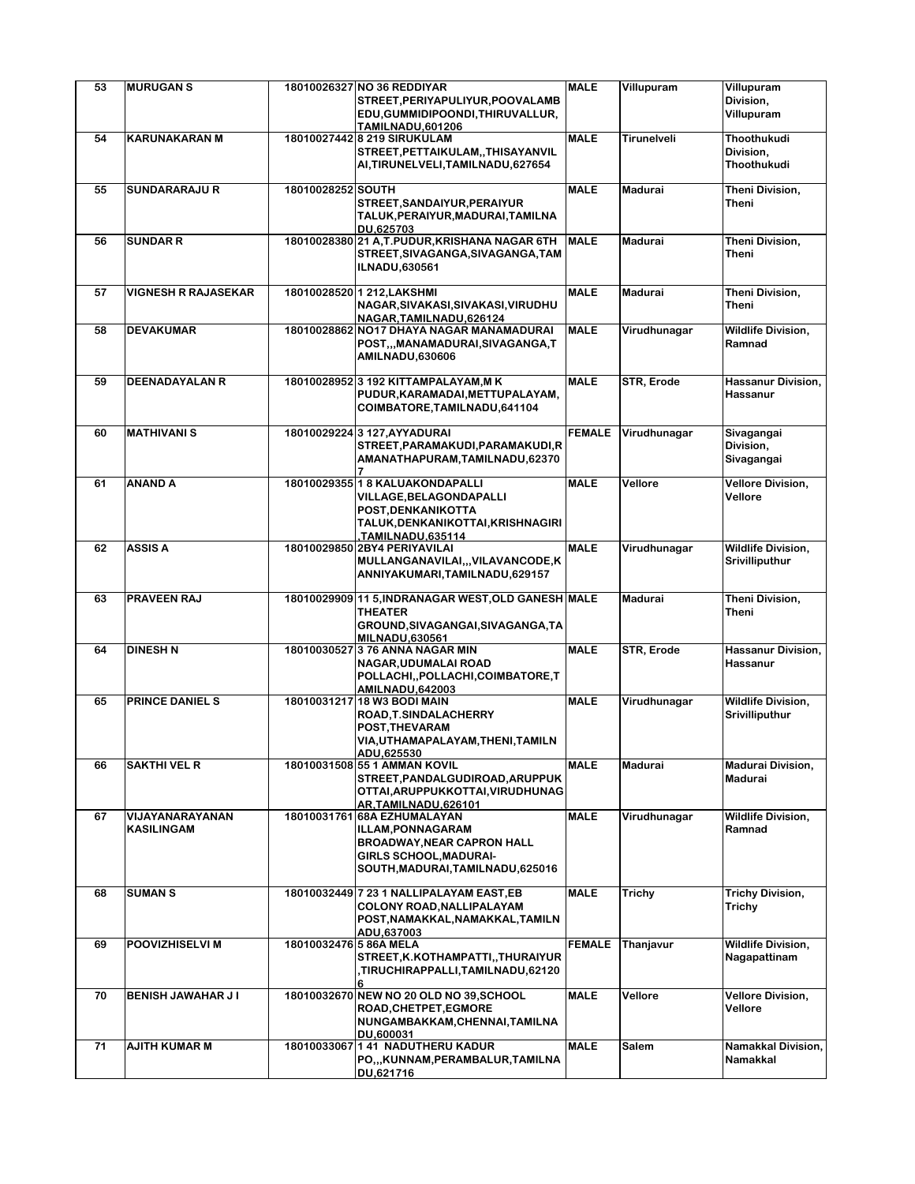| 53 | <b>MURUGAN S</b>              |                        | 18010026327 NO 36 REDDIYAR                                                                                                                                        | <b>MALE</b>   | Villupuram   | Villupuram                                         |
|----|-------------------------------|------------------------|-------------------------------------------------------------------------------------------------------------------------------------------------------------------|---------------|--------------|----------------------------------------------------|
|    |                               |                        | STREET, PERIYAPULIYUR, POOVALAMB<br>EDU, GUMMIDIPOONDI, THIRUVALLUR,<br>TAMILNADU,601206                                                                          |               |              | Division,<br>Villupuram                            |
| 54 | <b>KARUNAKARAN M</b>          |                        | 18010027442 8 219 SIRUKULAM<br>STREET, PETTAIKULAM, , THISAYANVIL<br>AI, TIRUNELVELI, TAMILNADU, 627654                                                           | <b>MALE</b>   | Tirunelveli  | Thoothukudi<br>Division,<br>Thoothukudi            |
| 55 | <b>SUNDARARAJU R</b>          | 18010028252 SOUTH      | STREET, SANDAIYUR, PERAIYUR<br>TALUK, PERAIYUR, MADURAI, TAMILNA<br>DU.625703                                                                                     | <b>MALE</b>   | Madurai      | Theni Division,<br>Theni                           |
| 56 | <b>SUNDAR R</b>               |                        | 18010028380 21 A,T.PUDUR, KRISHANA NAGAR 6TH<br>STREET, SIVAGANGA, SIVAGANGA, TAM<br><b>ILNADU,630561</b>                                                         | <b>MALE</b>   | Madurai      | Theni Division,<br>Theni                           |
| 57 | <b>VIGNESH R RAJASEKAR</b>    |                        | 18010028520 1 212, LAKSHMI<br>NAGAR, SIVAKASI, SIVAKASI, VIRUDHU<br>NAGAR, TAMILNADU, 626124                                                                      | <b>MALE</b>   | Madurai      | Theni Division,<br>Theni                           |
| 58 | <b>DEVAKUMAR</b>              |                        | 18010028862 NO17 DHAYA NAGAR MANAMADURAI<br>POST,,,MANAMADURAI,SIVAGANGA,T<br><b>AMILNADU,630606</b>                                                              | <b>MALE</b>   | Virudhunagar | <b>Wildlife Division,</b><br>Ramnad                |
| 59 | <b>DEENADAYALAN R</b>         |                        | 18010028952 3 192 KITTAMPALAYAM, MK<br>PUDUR, KARAMADAI, METTUPALAYAM,<br>COIMBATORE, TAMILNADU, 641104                                                           | <b>MALE</b>   | STR, Erode   | Hassanur Division,<br>Hassanur                     |
| 60 | <b>MATHIVANI S</b>            |                        | 180100292243 127.AYYADURAI<br>STREET, PARAMAKUDI, PARAMAKUDI, R<br>AMANATHAPURAM,TAMILNADU,62370                                                                  | <b>FEMALE</b> | Virudhunagar | Sivagangai<br>Division,<br>Sivagangai              |
| 61 | <b>ANAND A</b>                |                        | 18010029355 1 8 KALUAKONDAPALLI<br>VILLAGE, BELAGONDAPALLI<br>POST, DENKANIKOTTA<br>TALUK, DENKANIKOTTAI, KRISHNAGIRI<br>TAMILNADU,635114,                        | <b>MALE</b>   | Vellore      | <b>Vellore Division,</b><br>Vellore                |
| 62 | <b>ASSIS A</b>                |                        | 18010029850 2BY4 PERIYAVILAI<br>MULLANGANAVILAI,,,VILAVANCODE,K<br>ANNIYAKUMARI, TAMILNADU, 629157                                                                | <b>MALE</b>   | Virudhunagar | <b>Wildlife Division,</b><br>Srivilliputhur        |
| 63 | PRAVEEN RAJ                   |                        | 18010029909 11 5, INDRANAGAR WEST, OLD GANESH MALE<br><b>THEATER</b><br>GROUND, SIVAGANGAI, SIVAGANGA, TA<br><b>MILNADU,630561</b>                                |               | Madurai      | Theni Division,<br>Theni                           |
| 64 | <b>DINESH N</b>               |                        | 18010030527 3 76 ANNA NAGAR MIN<br>NAGAR, UDUMALAI ROAD<br>POLLACHI, POLLACHI, COIMBATORE, T<br><b>AMILNADU,642003</b>                                            | <b>MALE</b>   | STR, Erode   | Hassanur Division,<br>Hassanur                     |
| 65 | PRINCE DANIEL S               |                        | 18010031217 18 W3 BODI MAIN<br>ROAD, T. SINDALACHERRY<br>POST, THEVARAM<br>VIA, UTHAMAPALAYAM, THENI, TAMILN<br>ADU,625530                                        | <b>MALE</b>   | Virudhunagar | <b>Wildlife Division,</b><br><b>Srivilliputhur</b> |
| 66 | <b>SAKTHI VEL R</b>           |                        | 18010031508 55 1 AMMAN KOVIL<br>STREET, PANDALGUDIROAD, ARUPPUK<br>OTTAI, ARUPPUKKOTTAI, VIRUDHUNAG<br>AR, TAMILNADU, 626101                                      | <b>MALE</b>   | Madurai      | <b>Madurai Division,</b><br>Madurai                |
| 67 | VIJAYANARAYANAN<br>KASILINGAM |                        | 18010031761 68A EZHUMALAYAN<br><b>ILLAM.PONNAGARAM</b><br><b>BROADWAY, NEAR CAPRON HALL</b><br><b>GIRLS SCHOOL, MADURAI-</b><br>SOUTH, MADURAI, TAMILNADU, 625016 | <b>MALE</b>   | Virudhunagar | <b>Wildlife Division,</b><br>Ramnad                |
| 68 | <b>SUMAN S</b>                |                        | 18010032449 7 23 1 NALLIPALAYAM EAST, EB<br>COLONY ROAD, NALLIPALAYAM<br>POST, NAMAKKAL, NAMAKKAL, TAMILN<br>ADU,637003                                           | <b>MALE</b>   | Trichy       | Trichy Division,<br>Trichy                         |
| 69 | POOVIZHISELVI M               | 18010032476 5 86A MELA | STREET, K.KOTHAMPATTI, , THURAIYUR<br>TIRUCHIRAPPALLI,TAMILNADU,62120,                                                                                            | <b>FEMALE</b> | Thanjavur    | <b>Wildlife Division,</b><br>Nagapattinam          |
| 70 | BENISH JAWAHAR JI             |                        | 18010032670 NEW NO 20 OLD NO 39, SCHOOL<br>ROAD, CHETPET, EGMORE<br>NUNGAMBAKKAM, CHENNAI, TAMILNA<br>DU.600031                                                   | <b>MALE</b>   | Vellore      | <b>Vellore Division,</b><br>Vellore                |
| 71 | <b>AJITH KUMAR M</b>          |                        | 18010033067 1 41 NADUTHERU KADUR<br>PO,,,KUNNAM,PERAMBALUR,TAMILNA<br>DU,621716                                                                                   | <b>MALE</b>   | <b>Salem</b> | Namakkal Division,<br>Namakkal                     |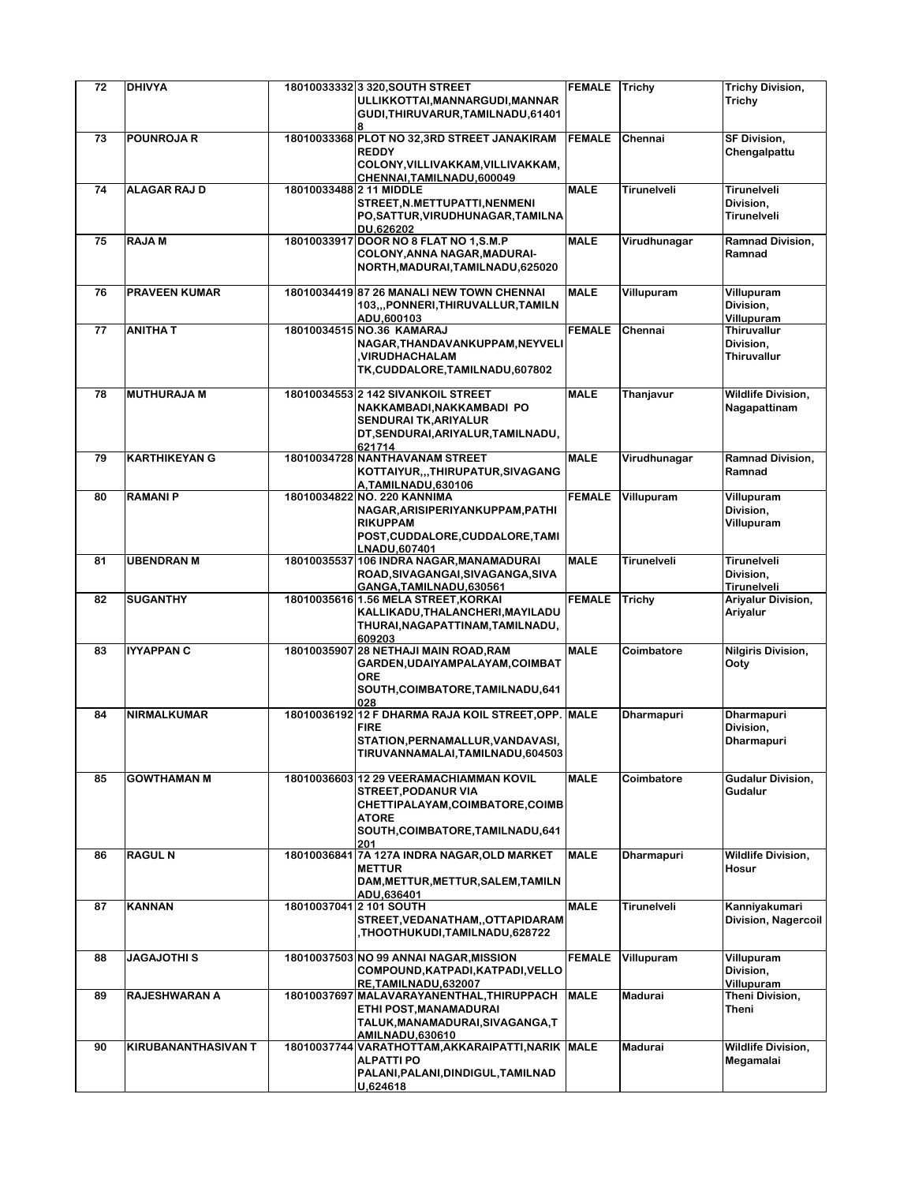| 72 | <b>DHIVYA</b>        |                         | 18010033332 3 320, SOUTH STREET                                                                                                                                | <b>FEMALE</b> | Trichy            | <b>Trichy Division,</b>                               |
|----|----------------------|-------------------------|----------------------------------------------------------------------------------------------------------------------------------------------------------------|---------------|-------------------|-------------------------------------------------------|
|    |                      |                         | ULLIKKOTTAI, MANNARGUDI, MANNAR<br>GUDI, THIRUVARUR, TAMILNADU, 61401                                                                                          |               |                   | Trichy                                                |
| 73 | <b>POUNROJA R</b>    |                         | 18010033368 PLOT NO 32,3RD STREET JANAKIRAM<br><b>REDDY</b><br>COLONY, VILLIVAKKAM, VILLIVAKKAM,<br>CHENNAI, TAMILNADU, 600049                                 | <b>FEMALE</b> | Chennai           | SF Division,<br>Chengalpattu                          |
| 74 | <b>ALAGAR RAJ D</b>  | 18010033488 2 11 MIDDLE | STREET, N.METTUPATTI, NENMENI<br>PO, SATTUR, VIRUDHUNAGAR, TAMILNA<br>DU.626202                                                                                | <b>MALE</b>   | Tirunelveli       | Tirunelveli<br>Division,<br>Tirunelveli               |
| 75 | <b>RAJAM</b>         |                         | 18010033917 DOOR NO 8 FLAT NO 1, S.M.P<br>COLONY, ANNA NAGAR, MADURAI-<br>NORTH, MADURAI, TAMILNADU, 625020                                                    | <b>MALE</b>   | Virudhunagar      | <b>Ramnad Division,</b><br>Ramnad                     |
| 76 | <b>PRAVEEN KUMAR</b> |                         | 18010034419 87 26 MANALI NEW TOWN CHENNAI<br>103,,,PONNERI,THIRUVALLUR,TAMILN<br>ADU.600103                                                                    | <b>MALE</b>   | Villupuram        | Villupuram<br>Division,<br>Villupuram                 |
| 77 | <b>ANITHAT</b>       |                         | 18010034515 NO.36 KAMARAJ<br>NAGAR, THANDAVANKUPPAM, NEYVELI<br>,VIRUDHACHALAM<br>TK, CUDDALORE, TAMILNADU, 607802                                             | <b>FEMALE</b> | Chennai           | <b>Thiruvallur</b><br>Division,<br><b>Thiruvallur</b> |
| 78 | <b>MUTHURAJA M</b>   |                         | 18010034553 2 142 SIVANKOIL STREET<br>NAKKAMBADI, NAKKAMBADI PO<br>SENDURAI TK, ARIYALUR<br>DT, SENDURAI, ARIYALUR, TAMILNADU,<br>621714                       | <b>MALE</b>   | Thanjavur         | <b>Wildlife Division,</b><br>Nagapattinam             |
| 79 | <b>KARTHIKEYAN G</b> |                         | 18010034728 NANTHAVANAM STREET<br>KOTTAIYUR,,,THIRUPATUR,SIVAGANG<br>A.TAMILNADU.630106                                                                        | <b>MALE</b>   | Virudhunagar      | <b>Ramnad Division,</b><br>Ramnad                     |
| 80 | <b>RAMANIP</b>       |                         | 18010034822 NO. 220 KANNIMA<br>NAGAR, ARISIPERIYANKUPPAM, PATHI<br><b>RIKUPPAM</b><br>POST, CUDDALORE, CUDDALORE, TAMI<br>LNADU.607401                         | <b>FEMALE</b> | Villupuram        | Villupuram<br>Division.<br>Villupuram                 |
| 81 | <b>UBENDRAN M</b>    |                         | 18010035537 106 INDRA NAGAR, MANAMADURAI<br>ROAD, SIVAGANGAI, SIVAGANGA, SIVA<br>GANGA, TAMILNADU, 630561                                                      | <b>MALE</b>   | Tirunelveli       | Tirunelveli<br>Division,<br>Tirunelveli               |
| 82 | <b>SUGANTHY</b>      |                         | 18010035616 1.56 MELA STREET, KORKAI<br>KALLIKADU, THALANCHERI, MAYILADU<br>THURAI, NAGAPATTINAM, TAMILNADU,<br>609203                                         | <b>FEMALE</b> | Trichy            | Ariyalur Division,<br>Ariyalur                        |
| 83 | IYYAPPAN C           |                         | 18010035907 28 NETHAJI MAIN ROAD, RAM<br>GARDEN, UDAIYAMPALAYAM, COIMBAT<br><b>ORE</b><br>SOUTH, COIMBATORE, TAMILNADU, 641<br>028                             | <b>MALE</b>   | Coimbatore        | <b>Nilgiris Division,</b><br>Ooty                     |
| 84 | NIRMALKUMAR          |                         | 18010036192 12 F DHARMA RAJA KOIL STREET, OPP. MALE<br><b>FIRE</b><br>STATION, PERNAMALLUR, VANDAVASI,<br>TIRUVANNAMALAI, TAMILNADU, 604503                    |               | <b>Dharmapuri</b> | <b>Dharmapuri</b><br>Division,<br>Dharmapuri          |
| 85 | <b>GOWTHAMAN M</b>   |                         | 18010036603 12 29 VEERAMACHIAMMAN KOVIL<br>STREET, PODANUR VIA<br>CHETTIPALAYAM, COIMBATORE, COIMB<br><b>ATORE</b><br>SOUTH, COIMBATORE, TAMILNADU, 641<br>201 | <b>MALE</b>   | Coimbatore        | Gudalur Division,<br>Gudalur                          |
| 86 | <b>RAGUL N</b>       |                         | 18010036841 7A 127A INDRA NAGAR, OLD MARKET<br><b>METTUR</b><br>DAM, METTUR, METTUR, SALEM, TAMILN<br>ADU,636401                                               | <b>MALE</b>   | <b>Dharmapuri</b> | <b>Wildlife Division,</b><br>Hosur                    |
| 87 | <b>KANNAN</b>        |                         | 18010037041 2 101 SOUTH<br>STREET, VEDANATHAM, , OTTAPIDARAM<br>THOOTHUKUDI,TAMILNADU,628722,                                                                  | <b>MALE</b>   | Tirunelveli       | Kanniyakumari<br><b>Division, Nagercoil</b>           |
| 88 | JAGAJOTHI S          |                         | 18010037503 NO 99 ANNAI NAGAR, MISSION<br>COMPOUND, KATPADI, KATPADI, VELLO<br>RE,TAMILNADU,632007                                                             | <b>FEMALE</b> | Villupuram        | Villupuram<br>Division,<br>Villupuram                 |
| 89 | RAJESHWARAN A        |                         | 18010037697 MALAVARAYANENTHAL, THIRUPPACH<br>ETHI POST, MANAMADURAI<br>TALUK, MANAMADURAI, SIVAGANGA, T<br>AMILNADU,630610                                     | <b>MALE</b>   | Madurai           | Theni Division,<br>Theni                              |
| 90 | KIRUBANANTHASIVAN T  |                         | 18010037744 VARATHOTTAM, AKKARAIPATTI, NARIK MALE<br><b>ALPATTI PO</b><br>PALANI, PALANI, DINDIGUL, TAMILNAD<br>U,624618                                       |               | Madurai           | <b>Wildlife Division,</b><br>Megamalai                |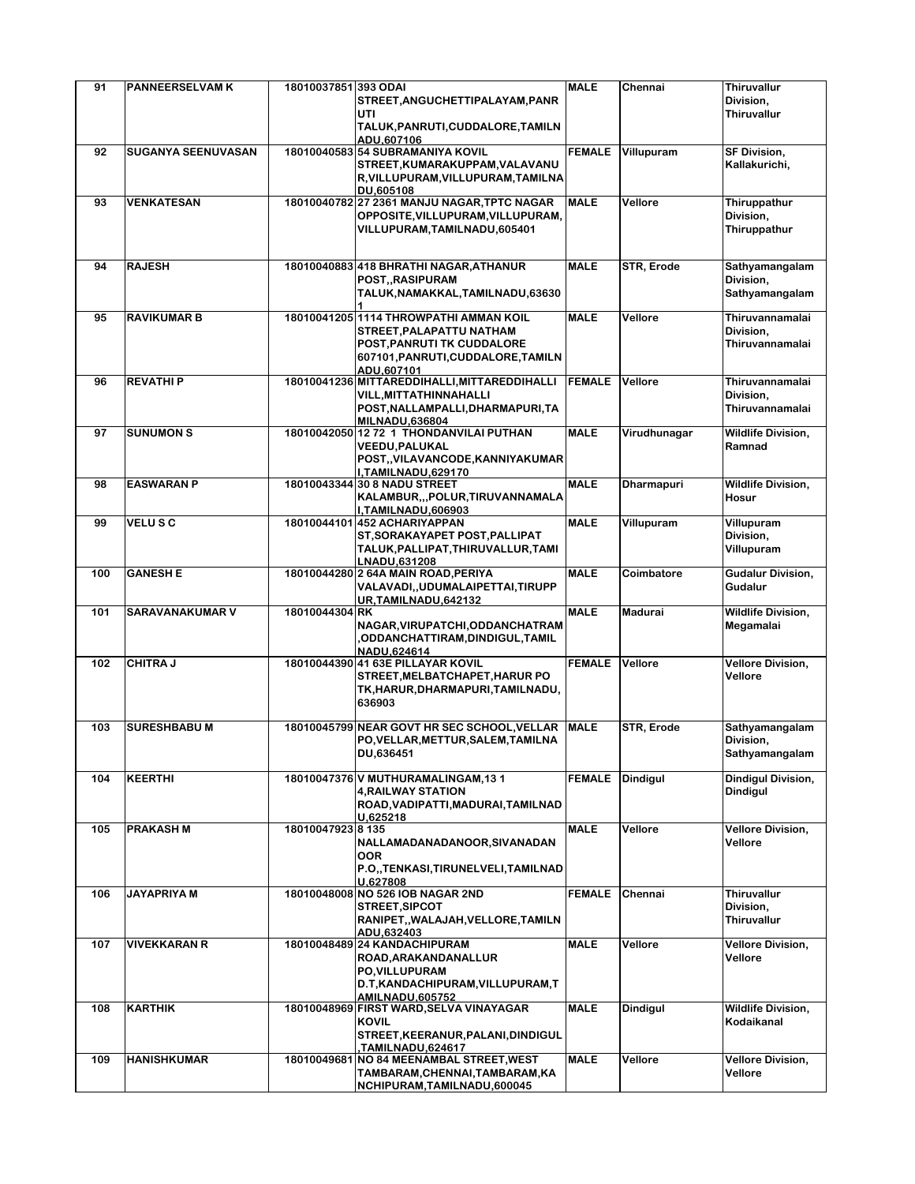| 91  | <b>PANNEERSELVAM K</b> | 18010037851 393 ODAI | STREET, ANGUCHETTIPALAYAM, PANR<br>UTI<br>TALUK, PANRUTI, CUDDALORE, TAMILN                                                                                 | <b>MALE</b>   | Chennai           | Thiruvallur<br>Division,<br>Thiruvallur         |
|-----|------------------------|----------------------|-------------------------------------------------------------------------------------------------------------------------------------------------------------|---------------|-------------------|-------------------------------------------------|
| 92  | SUGANYA SEENUVASAN     |                      | ADU,607106<br>18010040583 54 SUBRAMANIYA KOVIL<br>STREET, KUMARAKUPPAM, VALAVANU<br>R, VILLUPURAM, VILLUPURAM, TAMILNA<br>DU,605108                         | <b>FEMALE</b> | Villupuram        | <b>SF Division,</b><br>Kallakurichi,            |
| 93  | <b>VENKATESAN</b>      |                      | 18010040782 27 2361 MANJU NAGAR, TPTC NAGAR<br>OPPOSITE, VILLUPURAM, VILLUPURAM,<br>VILLUPURAM, TAMILNADU, 605401                                           | <b>MALE</b>   | Vellore           | Thiruppathur<br>Division,<br>Thiruppathur       |
| 94  | <b>RAJESH</b>          |                      | 18010040883 418 BHRATHI NAGAR, ATHANUR<br>POST,,RASIPURAM<br>TALUK, NAMAKKAL, TAMILNADU, 63630                                                              | <b>MALE</b>   | STR, Erode        | Sathyamangalam<br>Division,<br>Sathyamangalam   |
| 95  | <b>RAVIKUMAR B</b>     |                      | 18010041205 1114 THROWPATHI AMMAN KOIL<br>STREET, PALAPATTU NATHAM<br><b>POST, PANRUTI TK CUDDALORE</b><br>607101, PANRUTI, CUDDALORE, TAMILN<br>ADU,607101 | <b>MALE</b>   | Vellore           | Thiruvannamalai<br>Division,<br>Thiruvannamalai |
| 96  | <b>REVATHIP</b>        |                      | 18010041236 MITTAREDDIHALLI, MITTAREDDIHALLI<br>VILL, MITTATHINNAHALLI<br>POST, NALLAMPALLI, DHARMAPURI, TA<br><b>MILNADU,636804</b>                        | <b>FEMALE</b> | Vellore           | Thiruvannamalai<br>Division,<br>Thiruvannamalai |
| 97  | <b>SUNUMON S</b>       |                      | 18010042050 12 72 1 THONDANVILAI PUTHAN<br>VEEDU, PALUKAL<br>POST,, VILAVANCODE, KANNIYAKUMAR<br>I,TAMILNADU,629170                                         | <b>MALE</b>   | Virudhunagar      | <b>Wildlife Division,</b><br>Ramnad             |
| 98  | <b>EASWARAN P</b>      |                      | 18010043344 30 8 NADU STREET<br>KALAMBUR,,,POLUR,TIRUVANNAMALA<br>I,TAMILNADU,606903                                                                        | <b>MALE</b>   | <b>Dharmapuri</b> | <b>Wildlife Division,</b><br>Hosur              |
| 99  | VELUSC                 |                      | 18010044101 452 ACHARIYAPPAN<br>ST, SORAKAYAPET POST, PALLIPAT<br>TALUK, PALLIPAT, THIRUVALLUR, TAMI<br>LNADU,631208                                        | <b>MALE</b>   | Villupuram        | Villupuram<br>Division,<br>Villupuram           |
| 100 | <b>GANESH E</b>        |                      | 18010044280 2 64A MAIN ROAD, PERIYA<br>VALAVADI,, UDUMALAIPETTAI, TIRUPP<br>UR, TAMILNADU, 642132                                                           | <b>MALE</b>   | Coimbatore        | <b>Gudalur Division,</b><br>Gudalur             |
| 101 | <b>SARAVANAKUMAR V</b> | 18010044304 RK       | NAGAR, VIRUPATCHI, ODDANCHATRAM<br>,ODDANCHATTIRAM,DINDIGUL,TAMIL<br>NADU,624614                                                                            | <b>MALE</b>   | Madurai           | <b>Wildlife Division,</b><br>Megamalai          |
| 102 | <b>CHITRA J</b>        |                      | 18010044390 41 63E PILLAYAR KOVIL<br>STREET, MELBATCHAPET, HARUR PO<br>TK, HARUR, DHARMAPURI, TAMILNADU,<br>636903                                          | <b>FEMALE</b> | Vellore           | <b>Vellore Division,</b><br>Vellore             |
| 103 | <b>SURESHBABU M</b>    |                      | 18010045799 NEAR GOVT HR SEC SCHOOL, VELLAR MALE<br>PO, VELLAR, METTUR, SALEM, TAMILNA<br>DU,636451                                                         |               | STR, Erode        | Sathyamangalam<br>Division,<br>Sathyamangalam   |
| 104 | <b>KEERTHI</b>         |                      | 18010047376 V MUTHURAMALINGAM, 13 1<br><b>4.RAILWAY STATION</b><br>ROAD, VADIPATTI, MADURAI, TAMILNAD<br>U.625218                                           | <b>FEMALE</b> | <b>Dindigul</b>   | Dindigul Division,<br><b>Dindigul</b>           |
| 105 | <b>PRAKASH M</b>       | 18010047923 8 135    | NALLAMADANADANOOR, SIVANADAN<br><b>OOR</b><br>P.O., TENKASI, TIRUNELVELI, TAMILNAD<br>U,627808                                                              | <b>MALE</b>   | Vellore           | <b>Vellore Division,</b><br>Vellore             |
| 106 | <b>JAYAPRIYA M</b>     |                      | 18010048008 NO 526 IOB NAGAR 2ND<br>STREET, SIPCOT<br>RANIPET,, WALAJAH, VELLORE, TAMILN<br>ADU.632403                                                      | <b>FEMALE</b> | Chennai           | <b>Thiruvallur</b><br>Division,<br>Thiruvallur  |
| 107 | <b>VIVEKKARAN R</b>    |                      | 18010048489 24 KANDACHIPURAM<br>ROAD, ARAKANDANALLUR<br>PO, VILLUPURAM<br>D.T, KANDACHIPURAM, VILLUPURAM, T<br><b>AMILNADU,605752</b>                       | <b>MALE</b>   | Vellore           | <b>Vellore Division,</b><br>Vellore             |
| 108 | <b>KARTHIK</b>         |                      | 18010048969 FIRST WARD, SELVA VINAYAGAR<br><b>KOVIL</b><br>STREET, KEERANUR, PALANI, DINDIGUL<br>TAMILNADU,624617,                                          | <b>MALE</b>   | <b>Dindigul</b>   | <b>Wildlife Division,</b><br>Kodaikanal         |
| 109 | <b>HANISHKUMAR</b>     |                      | 18010049681 NO 84 MEENAMBAL STREET, WEST<br>TAMBARAM, CHENNAI, TAMBARAM, KA<br>NCHIPURAM, TAMILNADU, 600045                                                 | <b>MALE</b>   | Vellore           | <b>Vellore Division,</b><br>Vellore             |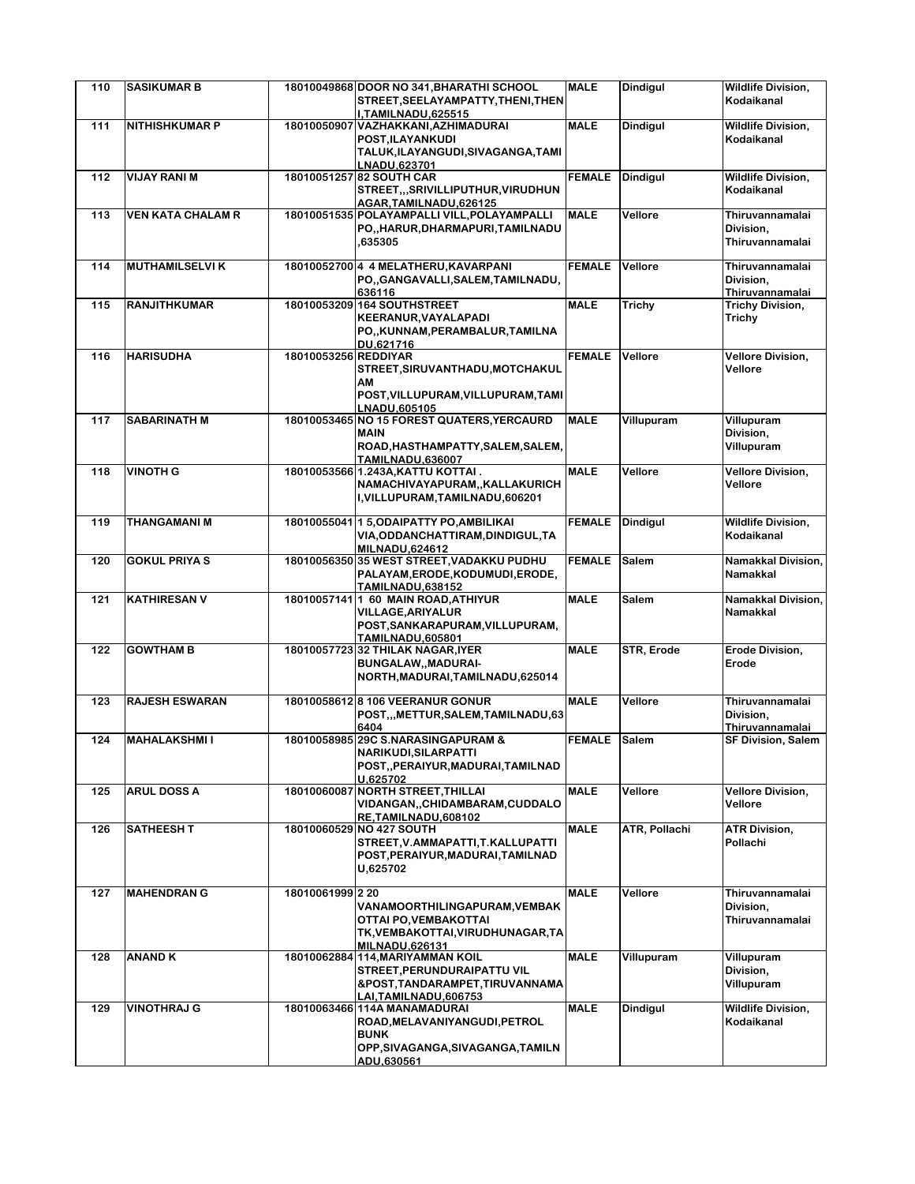| 110 | <b>SASIKUMAR B</b>       |                      | 18010049868 DOOR NO 341, BHARATHI SCHOOL                                         | <b>MALE</b>   | <b>Dindigul</b> | <b>Wildlife Division,</b>           |
|-----|--------------------------|----------------------|----------------------------------------------------------------------------------|---------------|-----------------|-------------------------------------|
|     |                          |                      | STREET, SEELAYAMPATTY, THENI, THEN<br>I,TAMILNADU,625515                         |               |                 | Kodaikanal                          |
| 111 | <b>NITHISHKUMAR P</b>    |                      | 18010050907 VAZHAKKANI, AZHIMADURAI                                              | <b>MALE</b>   | <b>Dindiaul</b> | <b>Wildlife Division.</b>           |
|     |                          |                      | POST, ILAYANKUDI                                                                 |               |                 | Kodaikanal                          |
|     |                          |                      | TALUK, ILAYANGUDI, SIVAGANGA, TAMI<br>LNADU,623701                               |               |                 |                                     |
| 112 | <b>VIJAY RANI M</b>      |                      | 18010051257 82 SOUTH CAR                                                         | <b>FEMALE</b> | <b>Dindigul</b> | <b>Wildlife Division,</b>           |
|     |                          |                      | STREET,,,SRIVILLIPUTHUR,VIRUDHUN                                                 |               |                 | Kodaikanal                          |
|     |                          |                      | AGAR,TAMILNADU,626125                                                            |               |                 |                                     |
| 113 | <b>VEN KATA CHALAM R</b> |                      | 18010051535 POLAYAMPALLI VILL, POLAYAMPALLI<br>PO., HARUR, DHARMAPURI, TAMILNADU | <b>MALE</b>   | Vellore         | Thiruvannamalai<br>Division,        |
|     |                          |                      | ,635305                                                                          |               |                 | Thiruvannamalai                     |
|     |                          |                      |                                                                                  |               |                 |                                     |
| 114 | <b>MUTHAMILSELVIK</b>    |                      | 18010052700 4 4 MELATHERU, KAVARPANI<br>PO., GANGAVALLI, SALEM, TAMILNADU,       | <b>FEMALE</b> | Vellore         | Thiruvannamalai<br>Division,        |
|     |                          |                      | 636116                                                                           |               |                 | Thiruvannamalai                     |
| 115 | <b>RANJITHKUMAR</b>      |                      | 18010053209 164 SOUTHSTREET                                                      | <b>MALE</b>   | Trichy          | <b>Trichy Division,</b>             |
|     |                          |                      | KEERANUR, VAYALAPADI                                                             |               |                 | Trichy                              |
|     |                          |                      | PO,,KUNNAM,PERAMBALUR,TAMILNA<br>DU,621716                                       |               |                 |                                     |
| 116 | <b>HARISUDHA</b>         | 18010053256 REDDIYAR |                                                                                  | <b>FEMALE</b> | Vellore         | <b>Vellore Division,</b>            |
|     |                          |                      | STREET, SIRUVANTHADU, MOTCHAKUL                                                  |               |                 | Vellore                             |
|     |                          |                      | АM<br>POST, VILLUPURAM, VILLUPURAM, TAMI                                         |               |                 |                                     |
|     |                          |                      | LNADU,605105                                                                     |               |                 |                                     |
| 117 | <b>SABARINATH M</b>      |                      | 18010053465 NO 15 FOREST QUATERS, YERCAURD                                       | <b>MALE</b>   | Villupuram      | Villupuram                          |
|     |                          |                      | <b>MAIN</b>                                                                      |               |                 | Division,                           |
|     |                          |                      | ROAD, HASTHAMPATTY, SALEM, SALEM,<br><b>TAMILNADU,636007</b>                     |               |                 | Villupuram                          |
| 118 | <b>VINOTH G</b>          |                      | 18010053566 1.243A, KATTU KOTTAI.                                                | <b>MALE</b>   | Vellore         | <b>Vellore Division.</b>            |
|     |                          |                      | NAMACHIVAYAPURAM,, KALLAKURICH                                                   |               |                 | Vellore                             |
|     |                          |                      | I, VILLUPURAM, TAMILNADU, 606201                                                 |               |                 |                                     |
| 119 | <b>THANGAMANI M</b>      |                      | 18010055041 15, ODAIPATTY PO, AMBILIKAI                                          | <b>FEMALE</b> | <b>Dindigul</b> | <b>Wildlife Division,</b>           |
|     |                          |                      | VIA, ODDANCHATTIRAM, DINDIGUL, TA                                                |               |                 | Kodaikanal                          |
|     |                          |                      | <b>MILNADU,624612</b>                                                            |               |                 |                                     |
| 120 | <b>GOKUL PRIYA S</b>     |                      | 18010056350 35 WEST STREET, VADAKKU PUDHU                                        | <b>FEMALE</b> | <b>Salem</b>    | Namakkal Division,                  |
|     |                          |                      | PALAYAM, ERODE, KODUMUDI, ERODE,<br>TAMILNADU,638152                             |               |                 | Namakkal                            |
| 121 | <b>KATHIRESAN V</b>      |                      | 180100571411 60 MAIN ROAD, ATHIYUR                                               | <b>MALE</b>   | Salem           | Namakkal Division,                  |
|     |                          |                      | <b>VILLAGE, ARIYALUR</b>                                                         |               |                 | Namakkal                            |
|     |                          |                      | POST, SANKARAPURAM, VILLUPURAM,<br><b>TAMILNADU,605801</b>                       |               |                 |                                     |
| 122 | <b>GOWTHAM B</b>         |                      | 18010057723 32 THILAK NAGAR, IYER                                                | <b>MALE</b>   | STR, Erode      | Erode Division,                     |
|     |                          |                      | BUNGALAW,, MADURAI-                                                              |               |                 | Erode                               |
|     |                          |                      | NORTH, MADURAI, TAMILNADU, 625014                                                |               |                 |                                     |
| 123 | <b>RAJESH ESWARAN</b>    |                      | 18010058612 8 106 VEERANUR GONUR                                                 | <b>MALE</b>   | Vellore         | Thiruvannamalai                     |
|     |                          |                      | POST,,,METTUR,SALEM,TAMILNADU,63                                                 |               |                 | Division,                           |
| 124 | <b>MAHALAKSHMII</b>      |                      | 6404<br>18010058985 29C S.NARASINGAPURAM &                                       | <b>FEMALE</b> | <b>Salem</b>    | Thiruvannamalai                     |
|     |                          |                      | NARIKUDI, SILARPATTI                                                             |               |                 | <b>SF Division, Salem</b>           |
|     |                          |                      | POST,,PERAIYUR,MADURAI,TAMILNAD                                                  |               |                 |                                     |
|     |                          |                      | U.625702                                                                         |               |                 |                                     |
| 125 | <b>ARUL DOSS A</b>       |                      | 18010060087 NORTH STREET, THILLAI<br>VIDANGAN,, CHIDAMBARAM, CUDDALO             | <b>MALE</b>   | Vellore         | <b>Vellore Division,</b><br>Vellore |
|     |                          |                      | RE.TAMILNADU.608102                                                              |               |                 |                                     |
| 126 | <b>SATHEESH T</b>        |                      | 18010060529 NO 427 SOUTH                                                         | <b>MALE</b>   | ATR, Pollachi   | <b>ATR Division,</b>                |
|     |                          |                      | STREET, V.AMMAPATTI, T.KALLUPATTI                                                |               |                 | Pollachi                            |
|     |                          |                      | POST, PERAIYUR, MADURAI, TAMILNAD<br>U,625702                                    |               |                 |                                     |
|     |                          |                      |                                                                                  |               |                 |                                     |
| 127 | <b>MAHENDRAN G</b>       | 18010061999 2 20     |                                                                                  | <b>MALE</b>   | Vellore         | Thiruvannamalai                     |
|     |                          |                      | VANAMOORTHILINGAPURAM, VEMBAK<br>OTTAI PO, VEMBAKOTTAI                           |               |                 | Division,<br>Thiruvannamalai        |
|     |                          |                      | TK, VEMBAKOTTAI, VIRUDHUNAGAR, TA                                                |               |                 |                                     |
|     |                          |                      | <b>MILNADU,626131</b>                                                            |               |                 |                                     |
| 128 | <b>ANAND K</b>           |                      | 18010062884 114, MARIYAMMAN KOIL<br><b>STREET, PERUNDURAIPATTU VIL</b>           | <b>MALE</b>   | Villupuram      | Villupuram<br>Division,             |
|     |                          |                      | &POST,TANDARAMPET,TIRUVANNAMA                                                    |               |                 | Villupuram                          |
|     |                          |                      | LAI,TAMILNADU,606753                                                             |               |                 |                                     |
| 129 | <b>VINOTHRAJ G</b>       |                      | 18010063466 114A MANAMADURAI                                                     | <b>MALE</b>   | <b>Dindigul</b> | <b>Wildlife Division,</b>           |
|     |                          |                      | ROAD, MELAVANIYANGUDI, PETROL<br><b>BUNK</b>                                     |               |                 | Kodaikanal                          |
|     |                          |                      | OPP, SIVAGANGA, SIVAGANGA, TAMILN                                                |               |                 |                                     |
|     |                          |                      | ADU,630561                                                                       |               |                 |                                     |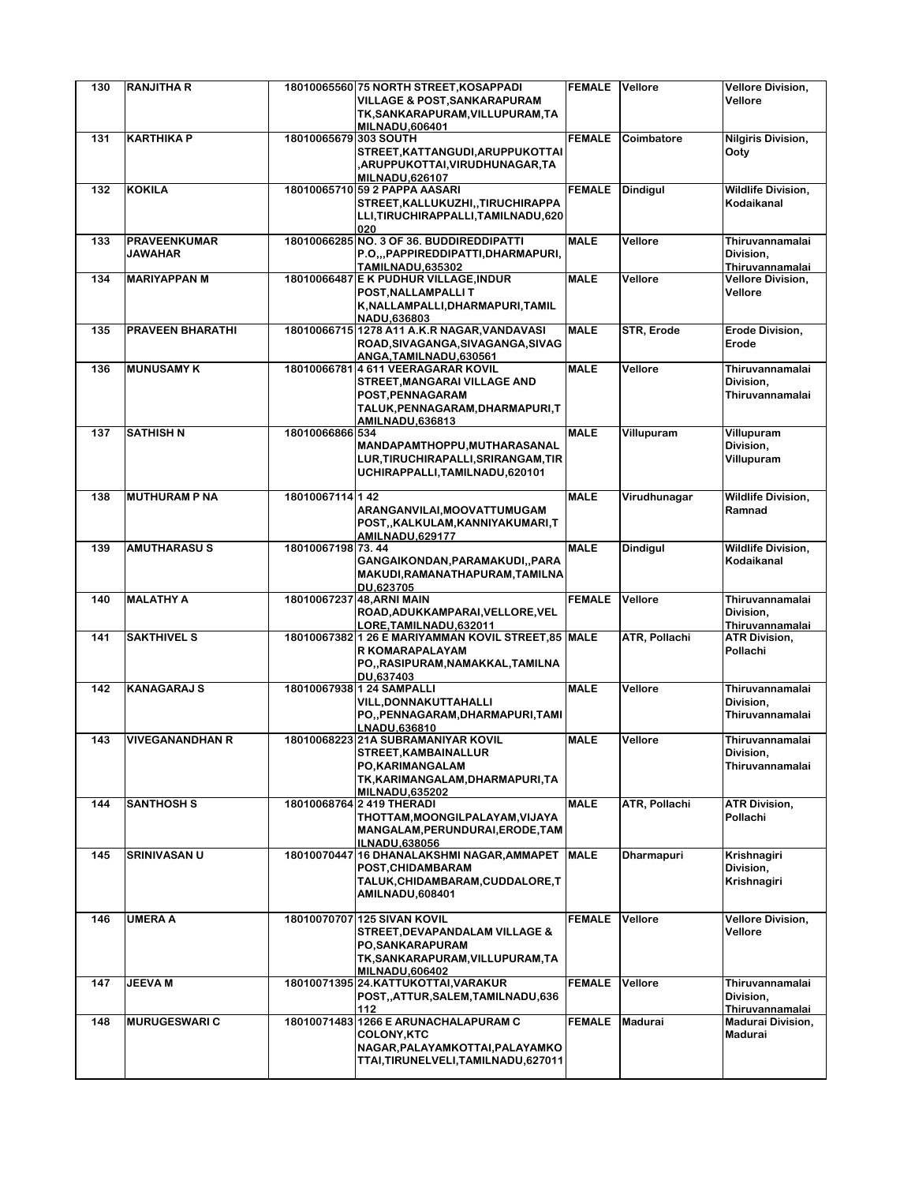| 130 | <b>RANJITHA R</b>                     |                       | 18010065560 75 NORTH STREET, KOSAPPADI<br><b>VILLAGE &amp; POST, SANKARAPURAM</b>                                                                         | <b>FEMALE</b> | Vellore           | <b>Vellore Division,</b><br>Vellore             |
|-----|---------------------------------------|-----------------------|-----------------------------------------------------------------------------------------------------------------------------------------------------------|---------------|-------------------|-------------------------------------------------|
|     |                                       |                       | TK, SANKARAPURAM, VILLUPURAM, TA<br><b>MILNADU,606401</b>                                                                                                 |               |                   |                                                 |
| 131 | <b>KARTHIKA P</b>                     | 18010065679 303 SOUTH | STREET, KATTANGUDI, ARUPPUKOTTAI<br>,ARUPPUKOTTAI,VIRUDHUNAGAR,TA<br><b>MILNADU,626107</b>                                                                | <b>FEMALE</b> | Coimbatore        | <b>Nilgiris Division,</b><br>Ooty               |
| 132 | <b>KOKILA</b>                         |                       | 18010065710 59 2 PAPPA AASARI<br>STREET, KALLUKUZHI, , TIRUCHIRAPPA<br>LLI, TIRUCHIRAPPALLI, TAMILNADU, 620<br>020                                        | <b>FEMALE</b> | <b>Dindigul</b>   | <b>Wildlife Division,</b><br>Kodaikanal         |
| 133 | <b>PRAVEENKUMAR</b><br><b>JAWAHAR</b> |                       | 18010066285 NO. 3 OF 36. BUDDIREDDIPATTI<br>P.O.,,PAPPIREDDIPATTI,DHARMAPURI,<br><b>TAMILNADU.635302</b>                                                  | <b>MALE</b>   | Vellore           | Thiruvannamalai<br>Division,<br>Thiruvannamalai |
| 134 | <b>MARIYAPPAN M</b>                   |                       | 18010066487 E K PUDHUR VILLAGE, INDUR<br>POST, NALLAMPALLIT<br>K, NALLAMPALLI, DHARMAPURI, TAMIL<br>NADU,636803                                           | <b>MALE</b>   | Vellore           | <b>Vellore Division,</b><br>Vellore             |
| 135 | <b>PRAVEEN BHARATHI</b>               |                       | 18010066715 1278 A11 A.K.R NAGAR, VANDAVASI<br>ROAD, SIVAGANGA, SIVAGANGA, SIVAG<br>ANGA, TAMILNADU, 630561                                               | <b>MALE</b>   | <b>STR, Erode</b> | <b>Erode Division,</b><br>Erode                 |
| 136 | <b>MUNUSAMY K</b>                     |                       | 18010066781 4 611 VEERAGARAR KOVIL<br>STREET, MANGARAI VILLAGE AND<br>POST, PENNAGARAM<br>TALUK, PENNAGARAM, DHARMAPURI, T<br><b>AMILNADU.636813</b>      | <b>MALE</b>   | Vellore           | Thiruvannamalai<br>Division,<br>Thiruvannamalai |
| 137 | <b>SATHISH N</b>                      | 18010066866 534       | MANDAPAMTHOPPU, MUTHARASANAL<br>LUR, TIRUCHIRAPALLI, SRIRANGAM, TIR<br>UCHIRAPPALLI, TAMILNADU, 620101                                                    | <b>MALE</b>   | Villupuram        | Villupuram<br>Division,<br>Villupuram           |
| 138 | <b>MUTHURAM P NA</b>                  | 18010067114 142       | ARANGANVILAI, MOOVATTUMUGAM<br>POST,, KALKULAM, KANNIYAKUMARI, T<br><b>AMILNADU,629177</b>                                                                | <b>MALE</b>   | Virudhunagar      | <b>Wildlife Division,</b><br>Ramnad             |
| 139 | <b>AMUTHARASUS</b>                    | 18010067198 73.44     | GANGAIKONDAN, PARAMAKUDI, , PARA<br>MAKUDI, RAMANATHAPURAM, TAMILNA<br>DU,623705                                                                          | <b>MALE</b>   | Dindigul          | <b>Wildlife Division,</b><br>Kodaikanal         |
| 140 | <b>MALATHY A</b>                      |                       | 18010067237 48, ARNI MAIN<br>ROAD, ADUKKAMPARAI, VELLORE, VEL<br>LORE, TAMILNADU, 632011                                                                  | <b>FEMALE</b> | Vellore           | Thiruvannamalai<br>Division,<br>Thiruvannamalai |
| 141 | <b>SAKTHIVEL S</b>                    |                       | 18010067382 1 26 E MARIYAMMAN KOVIL STREET, 85 MALE<br>R KOMARAPALAYAM<br>PO,,RASIPURAM,NAMAKKAL,TAMILNA<br>DU,637403                                     |               | ATR, Pollachi     | <b>ATR Division,</b><br>Pollachi                |
| 142 | <b>KANAGARAJ S</b>                    |                       | 18010067938 1 24 SAMPALLI<br>VILL, DONNAKUTTAHALLI<br>PO,,PENNAGARAM,DHARMAPURI,TAMI<br>LNADU,636810                                                      | <b>MALE</b>   | Vellore           | Thiruvannamalai<br>Division,<br>Thiruvannamalai |
| 143 | <b>VIVEGANANDHAN R</b>                |                       | 18010068223 21A SUBRAMANIYAR KOVIL<br>STREET, KAMBAINALLUR<br>PO, KARIMANGALAM<br>TK, KARIMANGALAM, DHARMAPURI, TA<br><b>MILNADU.635202</b>               | <b>MALE</b>   | Vellore           | Thiruvannamalai<br>Division,<br>Thiruvannamalai |
| 144 | <b>SANTHOSH S</b>                     |                       | 18010068764 2 419 THERADI<br>THOTTAM, MOONGILPALAYAM, VIJAYA<br>MANGALAM, PERUNDURAI, ERODE, TAM<br><b>ILNADU,638056</b>                                  | <b>MALE</b>   | ATR, Pollachi     | <b>ATR Division,</b><br>Pollachi                |
| 145 | <b>SRINIVASAN U</b>                   |                       | 18010070447 16 DHANALAKSHMI NAGAR, AMMAPET<br>POST.CHIDAMBARAM<br>TALUK, CHIDAMBARAM, CUDDALORE, T<br><b>AMILNADU,608401</b>                              | <b>MALE</b>   | <b>Dharmapuri</b> | Krishnagiri<br>Division,<br>Krishnagiri         |
| 146 | <b>UMERA A</b>                        |                       | 18010070707 125 SIVAN KOVIL<br><b>STREET, DEVAPANDALAM VILLAGE &amp;</b><br>PO, SANKARAPURAM<br>TK, SANKARAPURAM, VILLUPURAM, TA<br><b>MILNADU,606402</b> | <b>FEMALE</b> | Vellore           | <b>Vellore Division,</b><br>Vellore             |
| 147 | <b>JEEVA M</b>                        |                       | 18010071395 24.KATTUKOTTAI, VARAKUR<br>POST,,ATTUR,SALEM,TAMILNADU,636<br>112                                                                             | <b>FEMALE</b> | Vellore           | Thiruvannamalai<br>Division,<br>Thiruvannamalai |
| 148 | <b>MURUGESWARI C</b>                  |                       | 18010071483 1266 E ARUNACHALAPURAM C<br><b>COLONY, KTC</b><br>NAGAR, PALAYAMKOTTAI, PALAYAMKO<br>TTAI, TIRUNELVELI, TAMILNADU, 627011                     | <b>FEMALE</b> | Madurai           | <b>Madurai Division,</b><br>Madurai             |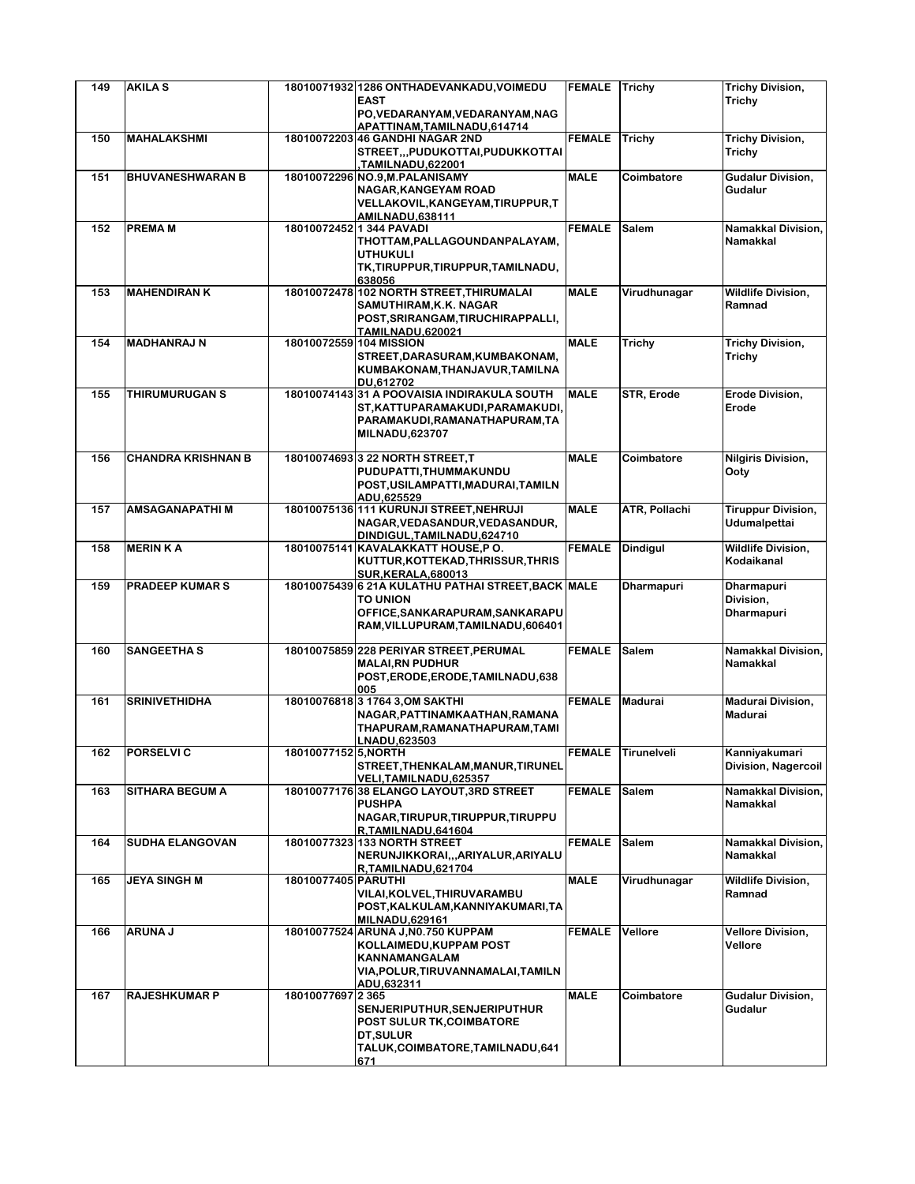| 149 | <b>AKILAS</b>             |                         | 18010071932 1286 ONTHADEVANKADU, VOIMEDU                         | <b>FEMALE</b> | Trichy            | <b>Trichy Division,</b>   |
|-----|---------------------------|-------------------------|------------------------------------------------------------------|---------------|-------------------|---------------------------|
|     |                           |                         | <b>EAST</b>                                                      |               |                   | Trichy                    |
|     |                           |                         | PO, VEDARANYAM, VEDARANYAM, NAG<br>APATTINAM.TAMILNADU.614714    |               |                   |                           |
| 150 | <b>MAHALAKSHMI</b>        |                         | 18010072203 46 GANDHI NAGAR 2ND                                  | <b>FEMALE</b> | <b>Trichy</b>     | <b>Trichy Division,</b>   |
|     |                           |                         | STREET,,,PUDUKOTTAI,PUDUKKOTTAI                                  |               |                   | Trichy                    |
|     |                           |                         | TAMILNADU,622001,                                                |               |                   |                           |
| 151 | <b>BHUVANESHWARAN B</b>   |                         | 18010072296 NO.9, M. PALANISAMY                                  | <b>MALE</b>   | Coimbatore        | Gudalur Division,         |
|     |                           |                         | NAGAR, KANGEYAM ROAD                                             |               |                   | Gudalur                   |
|     |                           |                         | VELLAKOVIL, KANGEYAM, TIRUPPUR, T                                |               |                   |                           |
| 152 | <b>PREMAM</b>             |                         | <b>AMILNADU,638111</b><br>18010072452 1 344 PAVADI               | <b>FEMALE</b> | Salem             | Namakkal Division,        |
|     |                           |                         | THOTTAM, PALLAGOUNDANPALAYAM,                                    |               |                   | Namakkal                  |
|     |                           |                         | <b>UTHUKULI</b>                                                  |               |                   |                           |
|     |                           |                         | TK, TIRUPPUR, TIRUPPUR, TAMILNADU,                               |               |                   |                           |
|     |                           |                         | 638056                                                           |               |                   |                           |
| 153 | <b>MAHENDIRAN K</b>       |                         | 18010072478 102 NORTH STREET, THIRUMALAI                         | <b>MALE</b>   | Virudhunagar      | <b>Wildlife Division.</b> |
|     |                           |                         | SAMUTHIRAM, K.K. NAGAR                                           |               |                   | Ramnad                    |
|     |                           |                         | POST, SRIRANGAM, TIRUCHIRAPPALLI,<br><b>TAMILNADU,620021</b>     |               |                   |                           |
| 154 | <b>MADHANRAJ N</b>        | 18010072559 104 MISSION |                                                                  | <b>MALE</b>   | Trichy            | Trichy Division,          |
|     |                           |                         | STREET, DARASURAM, KUMBAKONAM,                                   |               |                   | Trichy                    |
|     |                           |                         | KUMBAKONAM, THANJAVUR, TAMILNA                                   |               |                   |                           |
|     |                           |                         | DU.612702                                                        |               |                   |                           |
| 155 | <b>THIRUMURUGAN S</b>     |                         | 18010074143 31 A POOVAISIA INDIRAKULA SOUTH                      | <b>MALE</b>   | STR, Erode        | <b>Erode Division,</b>    |
|     |                           |                         | ST, KATTUPARAMAKUDI, PARAMAKUDI,                                 |               |                   | Erode                     |
|     |                           |                         | PARAMAKUDI, RAMANATHAPURAM, TA                                   |               |                   |                           |
|     |                           |                         | <b>MILNADU,623707</b>                                            |               |                   |                           |
| 156 | <b>CHANDRA KRISHNAN B</b> |                         | 18010074693 3 22 NORTH STREET.T                                  | <b>MALE</b>   | Coimbatore        | <b>Nilgiris Division,</b> |
|     |                           |                         | PUDUPATTI, THUMMAKUNDU                                           |               |                   | Ooty                      |
|     |                           |                         | POST, USILAMPATTI, MADURAI, TAMILN                               |               |                   |                           |
|     |                           |                         | ADU,625529                                                       |               |                   |                           |
| 157 | <b>AMSAGANAPATHIM</b>     |                         | 18010075136 111 KURUNJI STREET, NEHRUJI                          | <b>MALE</b>   | ATR, Pollachi     | <b>Tiruppur Division,</b> |
|     |                           |                         | NAGAR, VEDASANDUR, VEDASANDUR,<br>DINDIGUL, TAMILNADU, 624710    |               |                   | Udumalpettai              |
| 158 | <b>MERIN KA</b>           |                         | 18010075141 KAVALAKKATT HOUSE,P O.                               | <b>FEMALE</b> | <b>Dindigul</b>   | <b>Wildlife Division,</b> |
|     |                           |                         | KUTTUR, KOTTEKAD, THRISSUR, THRIS                                |               |                   | Kodaikanal                |
|     |                           |                         | <b>SUR, KERALA, 680013</b>                                       |               |                   |                           |
| 159 | <b>PRADEEP KUMARS</b>     |                         | 18010075439 6 21A KULATHU PATHAI STREET, BACK MALE               |               | <b>Dharmapuri</b> | Dharmapuri                |
|     |                           |                         | <b>TO UNION</b>                                                  |               |                   | Division,                 |
|     |                           |                         | OFFICE, SANKARAPURAM, SANKARAPU                                  |               |                   | <b>Dharmapuri</b>         |
|     |                           |                         | RAM, VILLUPURAM, TAMILNADU, 606401                               |               |                   |                           |
| 160 | <b>SANGEETHA S</b>        |                         | 18010075859 228 PERIYAR STREET, PERUMAL                          | <b>FEMALE</b> | <b>Salem</b>      | Namakkal Division,        |
|     |                           |                         | <b>MALAI, RN PUDHUR</b>                                          |               |                   | Namakkal                  |
|     |                           |                         | POST, ERODE, ERODE, TAMILNADU, 638                               |               |                   |                           |
|     |                           |                         | 005                                                              |               |                   |                           |
| 161 | <b>SRINIVETHIDHA</b>      |                         | 18010076818 3 1764 3, OM SAKTHI                                  | <b>FEMALE</b> | <b>Madurai</b>    | <b>Madurai Division,</b>  |
|     |                           |                         | NAGAR, PATTINAMKAATHAN, RAMANA<br>THAPURAM, RAMANATHAPURAM, TAMI |               |                   | Madurai                   |
|     |                           |                         | LNADU,623503                                                     |               |                   |                           |
| 162 | <b>PORSELVI C</b>         | 1801007715215, NORTH    |                                                                  | <b>FEMALE</b> | Tirunelveli       | Kanniyakumari             |
|     |                           |                         | STREET, THENKALAM, MANUR, TIRUNEL                                |               |                   | Division, Nagercoil       |
|     |                           |                         | VELI, TAMILNADU, 625357                                          |               |                   |                           |
| 163 | <b>SITHARA BEGUM A</b>    |                         | 18010077176 38 ELANGO LAYOUT, 3RD STREET                         | <b>FEMALE</b> | Salem             | Namakkal Division,        |
|     |                           |                         | <b>PUSHPA</b><br>NAGAR, TIRUPUR, TIRUPPUR, TIRUPPU               |               |                   | Namakkal                  |
|     |                           |                         | R,TAMILNADU,641604                                               |               |                   |                           |
| 164 | <b>SUDHA ELANGOVAN</b>    |                         | 18010077323 133 NORTH STREET                                     | <b>FEMALE</b> | <b>Salem</b>      | Namakkal Division,        |
|     |                           |                         | NERUNJIKKORAI,,,ARIYALUR,ARIYALU                                 |               |                   | Namakkal                  |
|     |                           |                         | R,TAMILNADU,621704                                               |               |                   |                           |
| 165 | <b>JEYA SINGH M</b>       | 18010077405 PARUTHI     |                                                                  | <b>MALE</b>   | Virudhunagar      | <b>Wildlife Division,</b> |
|     |                           |                         | VILAI, KOLVEL, THIRUVARAMBU                                      |               |                   | Ramnad                    |
|     |                           |                         | POST, KALKULAM, KANNIYAKUMARI, TA                                |               |                   |                           |
| 166 | <b>ARUNA J</b>            |                         | <b>MILNADU,629161</b><br>18010077524 ARUNA J, N0.750 KUPPAM      | <b>FEMALE</b> | Vellore           | <b>Vellore Division,</b>  |
|     |                           |                         | KOLLAIMEDU, KUPPAM POST                                          |               |                   | Vellore                   |
|     |                           |                         | KANNAMANGALAM                                                    |               |                   |                           |
|     |                           |                         | VIA, POLUR, TIRUVANNAMALAI, TAMILN                               |               |                   |                           |
|     |                           |                         | ADU,632311                                                       |               |                   |                           |
| 167 | <b>RAJESHKUMAR P</b>      | 18010077697 2365        |                                                                  | <b>MALE</b>   | Coimbatore        | Gudalur Division,         |
|     |                           |                         | SENJERIPUTHUR, SENJERIPUTHUR                                     |               |                   | Gudalur                   |
|     |                           |                         | POST SULUR TK, COIMBATORE<br>DT, SULUR                           |               |                   |                           |
|     |                           |                         | TALUK, COIMBATORE, TAMILNADU, 641                                |               |                   |                           |
|     |                           |                         | 671                                                              |               |                   |                           |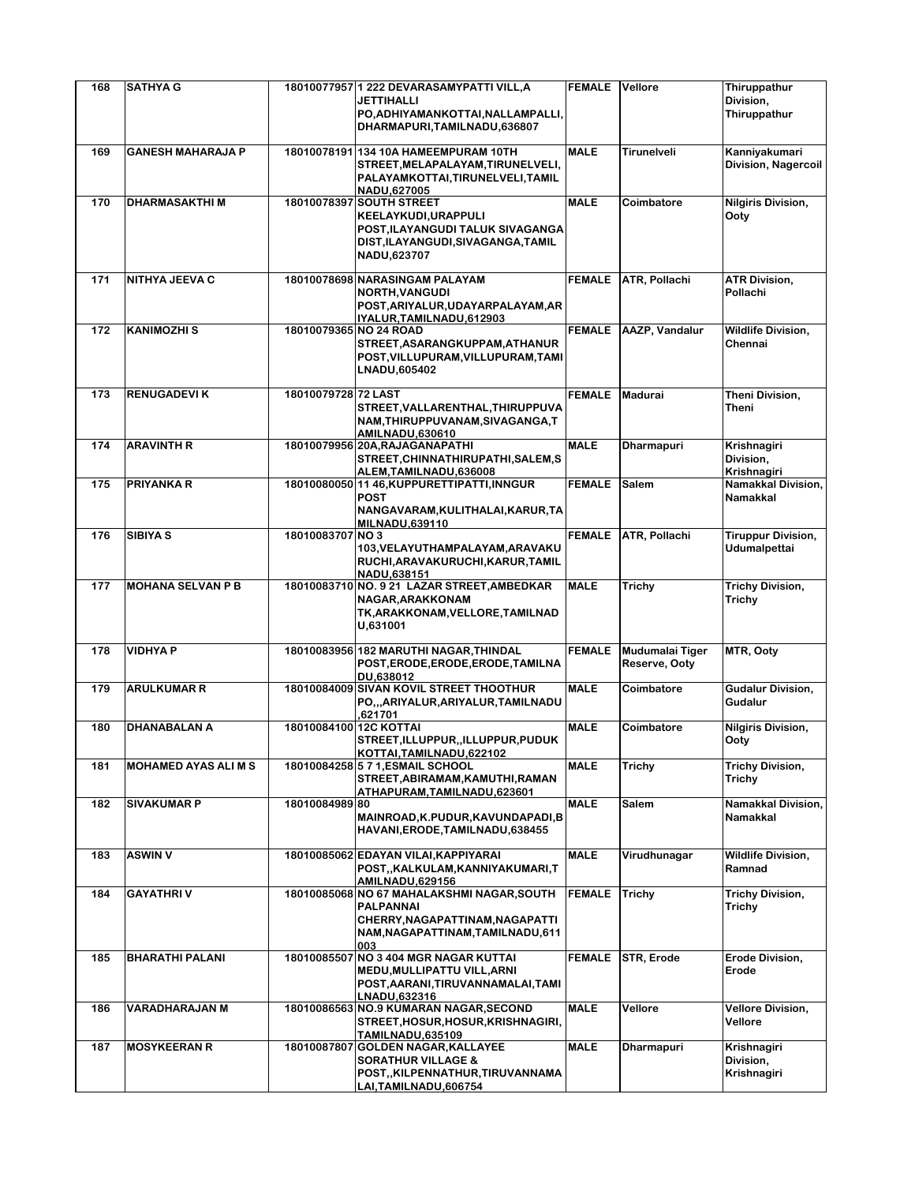| 168 | <b>SATHYA G</b>             |                        | 18010077957 1 222 DEVARASAMYPATTI VILL, A<br><b>JETTIHALLI</b><br>PO, ADHIYAMANKOTTAI, NALLAMPALLI,<br>DHARMAPURI, TAMILNADU, 636807                     | <b>FEMALE</b> | Vellore                          | Thiruppathur<br>Division,<br>Thiruppathur |
|-----|-----------------------------|------------------------|----------------------------------------------------------------------------------------------------------------------------------------------------------|---------------|----------------------------------|-------------------------------------------|
| 169 | <b>GANESH MAHARAJA P</b>    |                        | 18010078191 134 10A HAMEEMPURAM 10TH<br>STREET, MELAPALAYAM, TIRUNELVELI,<br>PALAYAMKOTTAI, TIRUNELVELI, TAMIL                                           | <b>MALE</b>   | Tirunelveli                      | Kanniyakumari<br>Division, Nagercoil      |
| 170 | <b>DHARMASAKTHIM</b>        |                        | NADU,627005<br>18010078397 SOUTH STREET<br>KEELAYKUDI, URAPPULI<br>POST, ILAYANGUDI TALUK SIVAGANGA<br>DIST, ILAYANGUDI, SIVAGANGA, TAMIL<br>NADU,623707 | <b>MALE</b>   | Coimbatore                       | <b>Nilgiris Division,</b><br>Ooty         |
| 171 | NITHYA JEEVA C              |                        | 18010078698 NARASINGAM PALAYAM<br><b>NORTH, VANGUDI</b><br>POST, ARIYALUR, UDAYARPALAYAM, AR<br>IYALUR, TAMILNADU, 612903                                | <b>FEMALE</b> | ATR, Pollachi                    | <b>ATR Division,</b><br>Pollachi          |
| 172 | <b>KANIMOZHI S</b>          | 18010079365 NO 24 ROAD | STREET, ASARANGKUPPAM, ATHANUR<br>POST, VILLUPURAM, VILLUPURAM, TAMI<br>LNADU,605402                                                                     | <b>FEMALE</b> | <b>AAZP, Vandalur</b>            | <b>Wildlife Division,</b><br>Chennai      |
| 173 | <b>RENUGADEVIK</b>          | 18010079728 72 LAST    | STREET, VALLARENTHAL, THIRUPPUVA<br>NAM, THIRUPPUVANAM, SIVAGANGA, T<br><b>AMILNADU,630610</b>                                                           | <b>FEMALE</b> | Madurai                          | Theni Division,<br>Theni                  |
| 174 | <b>ARAVINTH R</b>           |                        | 18010079956 20A, RAJAGANAPATHI<br>STREET, CHINNATHIRUPATHI, SALEM, S<br>ALEM, TAMILNADU, 636008                                                          | <b>MALE</b>   | <b>Dharmapuri</b>                | Krishnagiri<br>Division,<br>Krishnagiri   |
| 175 | <b>PRIYANKA R</b>           |                        | 18010080050 11 46, KUPPURETTIPATTI, INNGUR<br><b>POST</b><br>NANGAVARAM, KULITHALAI, KARUR, TA<br><b>MILNADU,639110</b>                                  | <b>FEMALE</b> | Salem                            | Namakkal Division,<br><b>Namakkal</b>     |
| 176 | <b>SIBIYA S</b>             | 18010083707 NO 3       | 103, VELAYUTHAMPALAYAM, ARAVAKU<br>RUCHI, ARAVAKURUCHI, KARUR, TAMIL<br>NADU,638151                                                                      | <b>FEMALE</b> | <b>ATR, Pollachi</b>             | <b>Tiruppur Division,</b><br>Udumalpettai |
| 177 | <b>MOHANA SELVAN P B</b>    |                        | 18010083710 NO. 9 21 LAZAR STREET, AMBEDKAR<br>NAGAR, ARAKKONAM<br>TK, ARAKKONAM, VELLORE, TAMILNAD<br>U,631001                                          | <b>MALE</b>   | Trichy                           | <b>Trichy Division,</b><br>Trichy         |
| 178 | <b>VIDHYA P</b>             |                        | 18010083956 182 MARUTHI NAGAR, THINDAL<br>POST, ERODE, ERODE, ERODE, TAMILNA<br>DU.638012                                                                | <b>FEMALE</b> | Mudumalai Tiger<br>Reserve, Ooty | MTR, Ooty                                 |
| 179 | <b>ARULKUMAR R</b>          |                        | 18010084009 SIVAN KOVIL STREET THOOTHUR<br>PO,,,ARIYALUR,ARIYALUR,TAMILNADU<br>.621701                                                                   | <b>MALE</b>   | Coimbatore                       | <b>Gudalur Division,</b><br>Gudalur       |
| 180 | <b>DHANABALAN A</b>         | 18010084100 12C KOTTAI | STREET, ILLUPPUR, ILLUPPUR, PUDUK<br>KOTTAI, TAMILNADU, 622102                                                                                           | <b>MALE</b>   | Coimbatore                       | <b>Nilgiris Division,</b><br>Ooty         |
| 181 | <b>MOHAMED AYAS ALI M S</b> |                        | 18010084258 5 7 1, ESMAIL SCHOOL<br>STREET, ABIRAMAM, KAMUTHI, RAMAN<br>ATHAPURAM, TAMILNADU, 623601                                                     | <b>MALE</b>   | Trichy                           | <b>Trichy Division,</b><br>Trichy         |
| 182 | <b>SIVAKUMAR P</b>          | 18010084989 80         | MAINROAD, K.PUDUR, KAVUNDAPADI, B<br>HAVANI, ERODE, TAMILNADU, 638455                                                                                    | <b>MALE</b>   | Salem                            | Namakkal Division,<br>Namakkal            |
| 183 | <b>ASWIN V</b>              |                        | 18010085062 EDAYAN VILAI, KAPPIYARAI<br>POST,, KALKULAM, KANNIYAKUMARI, T<br><b>AMILNADU,629156</b>                                                      | <b>MALE</b>   | Virudhunagar                     | <b>Wildlife Division,</b><br>Ramnad       |
| 184 | <b>GAYATHRIV</b>            |                        | 18010085068 NO 67 MAHALAKSHMI NAGAR, SOUTH<br>PALPANNAI<br>CHERRY, NAGAPATTINAM, NAGAPATTI<br>NAM, NAGAPATTINAM, TAMILNADU, 611<br>003                   | <b>FEMALE</b> | <b>Trichy</b>                    | <b>Trichy Division,</b><br>Trichy         |
| 185 | <b>BHARATHI PALANI</b>      |                        | 18010085507 NO 3 404 MGR NAGAR KUTTAI<br>MEDU, MULLIPATTU VILL, ARNI<br>POST, AARANI, TIRUVANNAMALAI, TAMI<br>LNADU,632316                               | <b>FEMALE</b> | STR, Erode                       | Erode Division,<br>Erode                  |
| 186 | VARADHARAJAN M              |                        | 18010086563 NO.9 KUMARAN NAGAR, SECOND<br>STREET, HOSUR, HOSUR, KRISHNAGIRI,<br>TAMILNADU,635109                                                         | <b>MALE</b>   | Vellore                          | <b>Vellore Division,</b><br>Vellore       |
| 187 | <b>MOSYKEERAN R</b>         |                        | 18010087807 GOLDEN NAGAR, KALLAYEE<br><b>SORATHUR VILLAGE &amp;</b><br>POST,, KILPENNATHUR, TIRUVANNAMA<br><u>LAI,TAMILNADU,606754</u>                   | <b>MALE</b>   | <b>Dharmapuri</b>                | Krishnagiri<br>Division,<br>Krishnagiri   |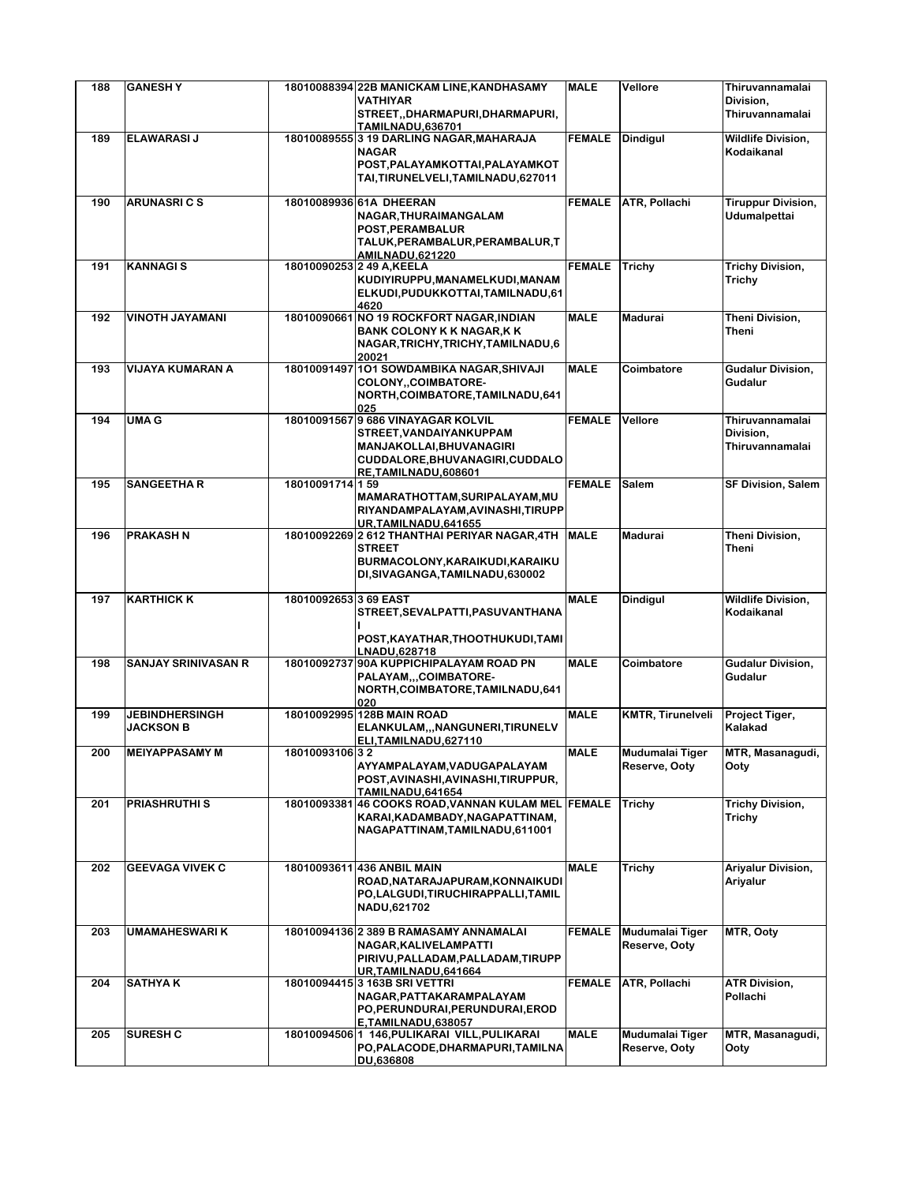| 188 | <b>GANESHY</b>                            |                       | 18010088394 22B MANICKAM LINE, KANDHASAMY<br><b>VATHIYAR</b><br>STREET,, DHARMAPURI, DHARMAPURI,<br><b>TAMILNADU,636701</b>                         | <b>MALE</b>   | Vellore                          | Thiruvannamalai<br>Division,<br>Thiruvannamalai |
|-----|-------------------------------------------|-----------------------|-----------------------------------------------------------------------------------------------------------------------------------------------------|---------------|----------------------------------|-------------------------------------------------|
| 189 | <b>ELAWARASIJ</b>                         |                       | 18010089555 3 19 DARLING NAGAR, MAHARAJA<br><b>NAGAR</b><br>POST, PALAYAMKOTTAI, PALAYAMKOT<br>TAI,TIRUNELVELI,TAMILNADU,627011                     | <b>FEMALE</b> | <b>Dindigul</b>                  | <b>Wildlife Division,</b><br>Kodaikanal         |
| 190 | <b>ARUNASRICS</b>                         |                       | 18010089936 61A DHEERAN<br>NAGAR, THURAIMANGALAM<br>POST, PERAMBALUR<br>TALUK, PERAMBALUR, PERAMBALUR, T<br><b>AMILNADU,621220</b>                  |               | FEMALE ATR, Pollachi             | <b>Tiruppur Division,</b><br>Udumalpettai       |
| 191 | <b>KANNAGIS</b>                           |                       | 18010090253 2 49 A.KEELA<br>KUDIYIRUPPU, MANAMELKUDI, MANAM<br>ELKUDI, PUDUKKOTTAI, TAMILNADU, 61<br>4620                                           | <b>FEMALE</b> | Trichy                           | <b>Trichy Division,</b><br>Trichy               |
| 192 | <b>VINOTH JAYAMANI</b>                    |                       | 18010090661 NO 19 ROCKFORT NAGAR, INDIAN<br><b>BANK COLONY K K NAGAR, K K</b><br>NAGAR, TRICHY, TRICHY, TAMILNADU, 6<br>20021                       | <b>MALE</b>   | <b>Madurai</b>                   | Theni Division,<br>Theni                        |
| 193 | <b>VIJAYA KUMARAN A</b>                   |                       | 18010091497 101 SOWDAMBIKA NAGAR, SHIVAJI<br>COLONY, COIMBATORE-<br>NORTH, COIMBATORE, TAMILNADU, 641<br>025                                        | <b>MALE</b>   | Coimbatore                       | <b>Gudalur Division,</b><br>Gudalur             |
| 194 | <b>UMA G</b>                              |                       | 18010091567 9 686 VINAYAGAR KOLVIL<br>STREET, VANDAIYANKUPPAM<br>MANJAKOLLAI, BHUVANAGIRI<br>CUDDALORE, BHUVANAGIRI, CUDDALO<br>RE,TAMILNADU,608601 | <b>FEMALE</b> | Vellore                          | Thiruvannamalai<br>Division.<br>Thiruvannamalai |
| 195 | <b>SANGEETHA R</b>                        | 18010091714 159       | MAMARATHOTTAM, SURIPALAYAM, MU<br>RIYANDAMPALAYAM, AVINASHI, TIRUPP<br>UR, TAMILNADU, 641655                                                        | <b>FEMALE</b> | <b>Salem</b>                     | <b>SF Division, Salem</b>                       |
| 196 | <b>PRAKASH N</b>                          |                       | 18010092269 2 612 THANTHAI PERIYAR NAGAR, 4TH<br><b>STREET</b><br>BURMACOLONY, KARAIKUDI, KARAIKU<br>DI, SIVAGANGA, TAMILNADU, 630002               | <b>MALE</b>   | <b>Madurai</b>                   | Theni Division,<br>Theni                        |
| 197 | <b>KARTHICK K</b>                         | 18010092653 3 69 EAST | STREET, SEVALPATTI, PASUVANTHANA<br>POST, KAYATHAR, THOOTHUKUDI, TAMI                                                                               | <b>MALE</b>   | <b>Dindigul</b>                  | <b>Wildlife Division,</b><br>Kodaikanal         |
| 198 | <b>SANJAY SRINIVASAN R</b>                |                       | LNADU,628718<br>18010092737 90A KUPPICHIPALAYAM ROAD PN<br>PALAYAM,,,COIMBATORE-<br>NORTH, COIMBATORE, TAMILNADU, 641<br>020                        | <b>MALE</b>   | Coimbatore                       | <b>Gudalur Division,</b><br>Gudalur             |
| 199 | <b>JEBINDHERSINGH</b><br><b>JACKSON B</b> |                       | 18010092995 128B MAIN ROAD<br>ELANKULAM,,,NANGUNERI,TIRUNELV<br>ELI,TAMILNADU,627110                                                                | <b>MALE</b>   | <b>KMTR, Tirunelveli</b>         | Project Tiger,<br>Kalakad                       |
| 200 | <b>MEIYAPPASAMY M</b>                     | 18010093106 32        | AYYAMPALAYAM, VADUGAPALAYAM<br>POST, AVINASHI, AVINASHI, TIRUPPUR,<br>TAMILNADU, 641654                                                             | <b>MALE</b>   | Mudumalai Tiger<br>Reserve, Ooty | MTR, Masanagudi,<br>Ooty                        |
| 201 | <b>PRIASHRUTHI S</b>                      |                       | 18010093381 46 COOKS ROAD, VANNAN KULAM MEL FEMALE<br>KARAI, KADAMBADY, NAGAPATTINAM,<br>NAGAPATTINAM,TAMILNADU,611001                              |               | <b>Trichy</b>                    | Trichy Division,<br>Trichy                      |
| 202 | <b>GEEVAGA VIVEK C</b>                    |                       | 18010093611 436 ANBIL MAIN<br>ROAD, NATARAJAPURAM, KONNAIKUDI<br>PO,LALGUDI,TIRUCHIRAPPALLI,TAMIL<br>NADU,621702                                    | <b>MALE</b>   | <b>Trichy</b>                    | <b>Ariyalur Division,</b><br>Ariyalur           |
| 203 | UMAMAHESWARI K                            |                       | 18010094136 2 389 B RAMASAMY ANNAMALAI<br>NAGAR, KALIVELAMPATTI<br>PIRIVU, PALLADAM, PALLADAM, TIRUPP<br>UR, TAMILNADU, 641664                      | <b>FEMALE</b> | Mudumalai Tiger<br>Reserve, Ooty | MTR, Ooty                                       |
| 204 | <b>SATHYAK</b>                            |                       | 18010094415 3 163B SRI VETTRI<br>NAGAR, PATTAKARAMPALAYAM<br>PO, PERUNDURAI, PERUNDURAI, EROD<br>E,TAMILNADU,638057                                 | <b>FEMALE</b> | ATR, Pollachi                    | <b>ATR Division,</b><br>Pollachi                |
| 205 | <b>SURESH C</b>                           |                       | 18010094506 1 146, PULIKARAI VILL, PULIKARAI<br>PO, PALACODE, DHARMAPURI, TAMILNA<br>DU,636808                                                      | <b>MALE</b>   | Mudumalai Tiger<br>Reserve, Ooty | MTR, Masanagudi,<br>Ooty                        |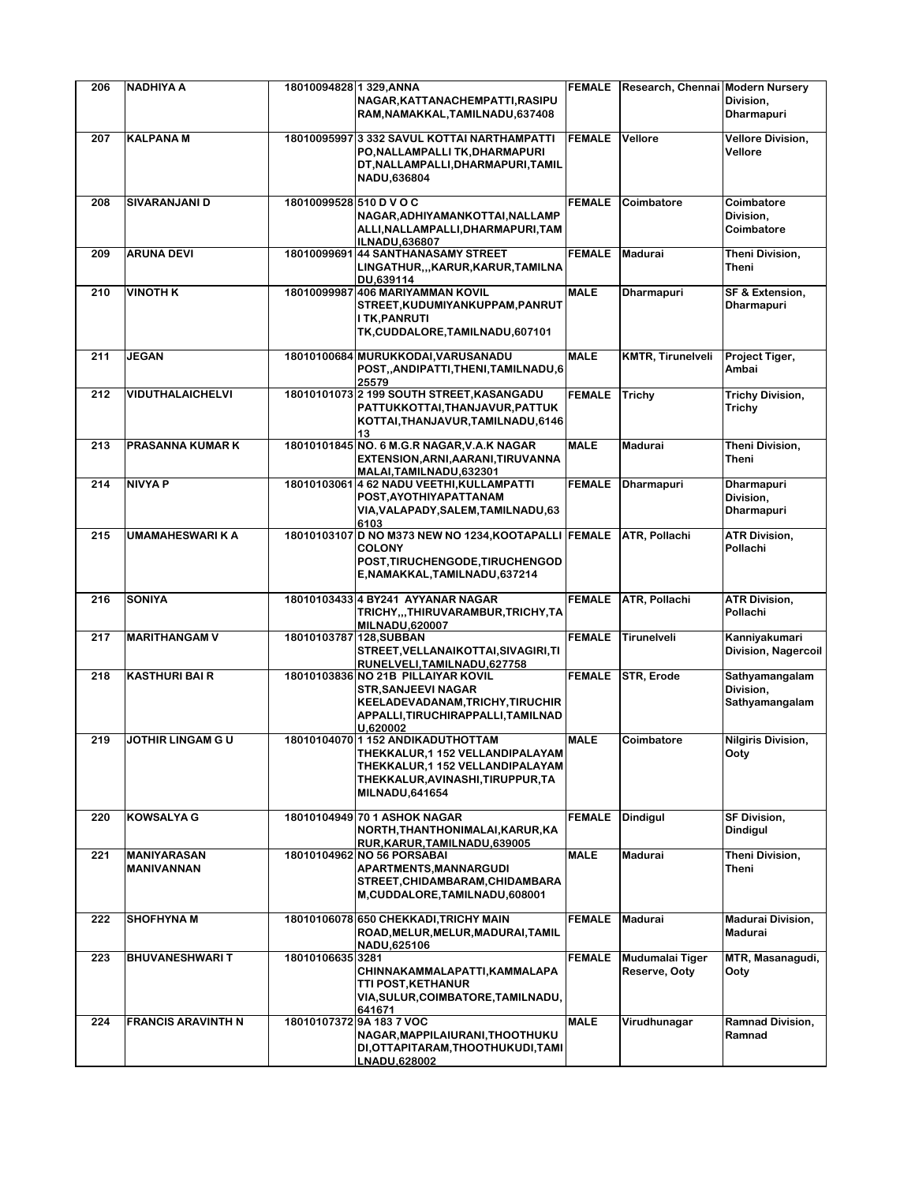| 206 | <b>NADHIYA A</b>                 | 18010094828 1 329, ANNA | NAGAR, KATTANACHEMPATTI, RASIPU<br>RAM, NAMAKKAL, TAMILNADU, 637408                                                                                                    | <b>FEMALE</b> | Research, Chennai Modern Nursery | Division,<br>Dharmapuri                       |
|-----|----------------------------------|-------------------------|------------------------------------------------------------------------------------------------------------------------------------------------------------------------|---------------|----------------------------------|-----------------------------------------------|
| 207 | <b>KALPANA M</b>                 |                         | 18010095997 3 332 SAVUL KOTTAI NARTHAMPATTI<br>PO, NALLAMPALLI TK, DHARMAPURI<br>DT, NALLAMPALLI, DHARMAPURI, TAMIL<br>NADU,636804                                     | <b>FEMALE</b> | Vellore                          | <b>Vellore Division,</b><br>Vellore           |
| 208 | SIVARANJANI D                    | 18010099528 510 D V O C | NAGAR, ADHIYAMANKOTTAI, NALLAMP<br>ALLI, NALLAMPALLI, DHARMAPURI, TAM<br><b>ILNADU,636807</b>                                                                          | <b>FEMALE</b> | Coimbatore                       | Coimbatore<br>Division,<br>Coimbatore         |
| 209 | <b>ARUNA DEVI</b>                |                         | 18010099691 44 SANTHANASAMY STREET<br>LINGATHUR,,,KARUR,KARUR,TAMILNA<br>DU.639114                                                                                     | <b>FEMALE</b> | <b>Madurai</b>                   | Theni Division,<br>Theni                      |
| 210 | VINOTH K                         | 18010099987             | <b>406 MARIYAMMAN KOVIL</b><br>STREET, KUDUMIYANKUPPAM, PANRUT<br><b>ITK, PANRUTI</b><br>TK, CUDDALORE, TAMILNADU, 607101                                              | <b>MALE</b>   | <b>Dharmapuri</b>                | SF & Extension,<br>Dharmapuri                 |
| 211 | <b>JEGAN</b>                     |                         | 18010100684 MURUKKODAI, VARUSANADU<br>POST,,ANDIPATTI,THENI,TAMILNADU,6<br>25579                                                                                       | <b>MALE</b>   | <b>KMTR, Tirunelveli</b>         | Project Tiger,<br>Ambai                       |
| 212 | <b>VIDUTHALAICHELVI</b>          |                         | 18010101073 2 199 SOUTH STREET.KASANGADU<br>PATTUKKOTTAI, THANJAVUR, PATTUK<br>KOTTAI, THANJAVUR, TAMILNADU, 6146<br>13                                                | <b>FEMALE</b> | <b>Trichy</b>                    | <b>Trichy Division,</b><br>Trichy             |
| 213 | <b>PRASANNA KUMAR K</b>          |                         | 18010101845 NO. 6 M.G.R NAGAR, V.A.K NAGAR<br>EXTENSION, ARNI, AARANI, TIRUVANNA<br>MALAI, TAMILNADU, 632301                                                           | <b>MALE</b>   | <b>Madurai</b>                   | Theni Division,<br>Theni                      |
| 214 | <b>NIVYA P</b>                   |                         | 18010103061 4 62 NADU VEETHI, KULLAMPATTI<br>POST, AYOTHIYAPATTANAM<br>VIA, VALAPADY, SALEM, TAMILNADU, 63<br>6103                                                     | <b>FEMALE</b> | <b>Dharmapuri</b>                | Dharmapuri<br>Division,<br>Dharmapuri         |
| 215 | <b>UMAMAHESWARIKA</b>            |                         | 18010103107 D NO M373 NEW NO 1234, KOOTAPALLI FEMALE<br><b>COLONY</b><br>POST, TIRUCHENGODE, TIRUCHENGOD<br>E, NAMAKKAL, TAMILNADU, 637214                             |               | ATR, Pollachi                    | <b>ATR Division,</b><br>Pollachi              |
| 216 | <b>SONIYA</b>                    |                         | 18010103433 4 BY241 AYYANAR NAGAR<br>TRICHY,,,THIRUVARAMBUR,TRICHY,TA<br><b>MILNADU,620007</b>                                                                         | <b>FEMALE</b> | ATR, Pollachi                    | <b>ATR Division,</b><br>Pollachi              |
| 217 | <b>MARITHANGAM V</b>             | 18010103787 128, SUBBAN | STREET, VELLANAIKOTTAI, SIVAGIRI, TI<br>RUNELVELI, TAMILNADU, 627758                                                                                                   | <b>FEMALE</b> | Tirunelveli                      | Kanniyakumari<br>Division, Nagercoil          |
| 218 | <b>KASTHURI BAI R</b>            |                         | 18010103836 NO 21B PILLAIYAR KOVIL<br><b>STR, SANJEEVI NAGAR</b><br>KEELADEVADANAM, TRICHY, TIRUCHIR<br>APPALLI, TIRUCHIRAPPALLI, TAMILNAD<br>U.620002                 | <b>FEMALE</b> | STR, Erode                       | Sathyamangalam<br>Division,<br>Sathyamangalam |
| 219 | <b>JOTHIR LINGAM G U</b>         |                         | 18010104070 1 152 ANDIKADUTHOTTAM<br>THEKKALUR,1 152 VELLANDIPALAYAM<br>THEKKALUR, 1 152 VELLANDIPALAYAM<br>THEKKALUR, AVINASHI, TIRUPPUR, TA<br><b>MILNADU,641654</b> | <b>MALE</b>   | Coimbatore                       | <b>Nilgiris Division,</b><br>Ooty             |
| 220 | <b>KOWSALYA G</b>                |                         | 18010104949 70 1 ASHOK NAGAR<br>NORTH, THANTHONIMALAI, KARUR, KA<br>RUR.KARUR.TAMILNADU.639005                                                                         | <b>FEMALE</b> | <b>Dindigul</b>                  | <b>SF Division,</b><br><b>Dindigul</b>        |
| 221 | <b>MANIYARASAN</b><br>MANIVANNAN |                         | 18010104962 NO 56 PORSABAI<br>APARTMENTS, MANNARGUDI<br>STREET, CHIDAMBARAM, CHIDAMBARA<br>M,CUDDALORE,TAMILNADU,608001                                                | <b>MALE</b>   | Madurai                          | Theni Division,<br>Theni                      |
| 222 | <b>SHOFHYNA M</b>                |                         | 18010106078 650 CHEKKADI.TRICHY MAIN<br>ROAD, MELUR, MELUR, MADURAI, TAMIL<br>NADU,625106                                                                              | <b>FEMALE</b> | Madurai                          | <b>Madurai Division,</b><br>Madurai           |
| 223 | <b>BHUVANESHWARIT</b>            | 18010106635 3281        | CHINNAKAMMALAPATTI, KAMMALAPA<br>TTI POST, KETHANUR<br>VIA, SULUR, COIMBATORE, TAMILNADU,<br>641671                                                                    | <b>FEMALE</b> | Mudumalai Tiger<br>Reserve, Ooty | MTR, Masanagudi,<br>Ooty                      |
| 224 | <b>FRANCIS ARAVINTH N</b>        |                         | 18010107372 9A 183 7 VOC<br>NAGAR, MAPPILAIURANI, THOOTHUKU<br>DI, OTTAPITARAM, THOOTHUKUDI, TAMI<br>LNADU,628002                                                      | <b>MALE</b>   | Virudhunagar                     | <b>Ramnad Division,</b><br>Ramnad             |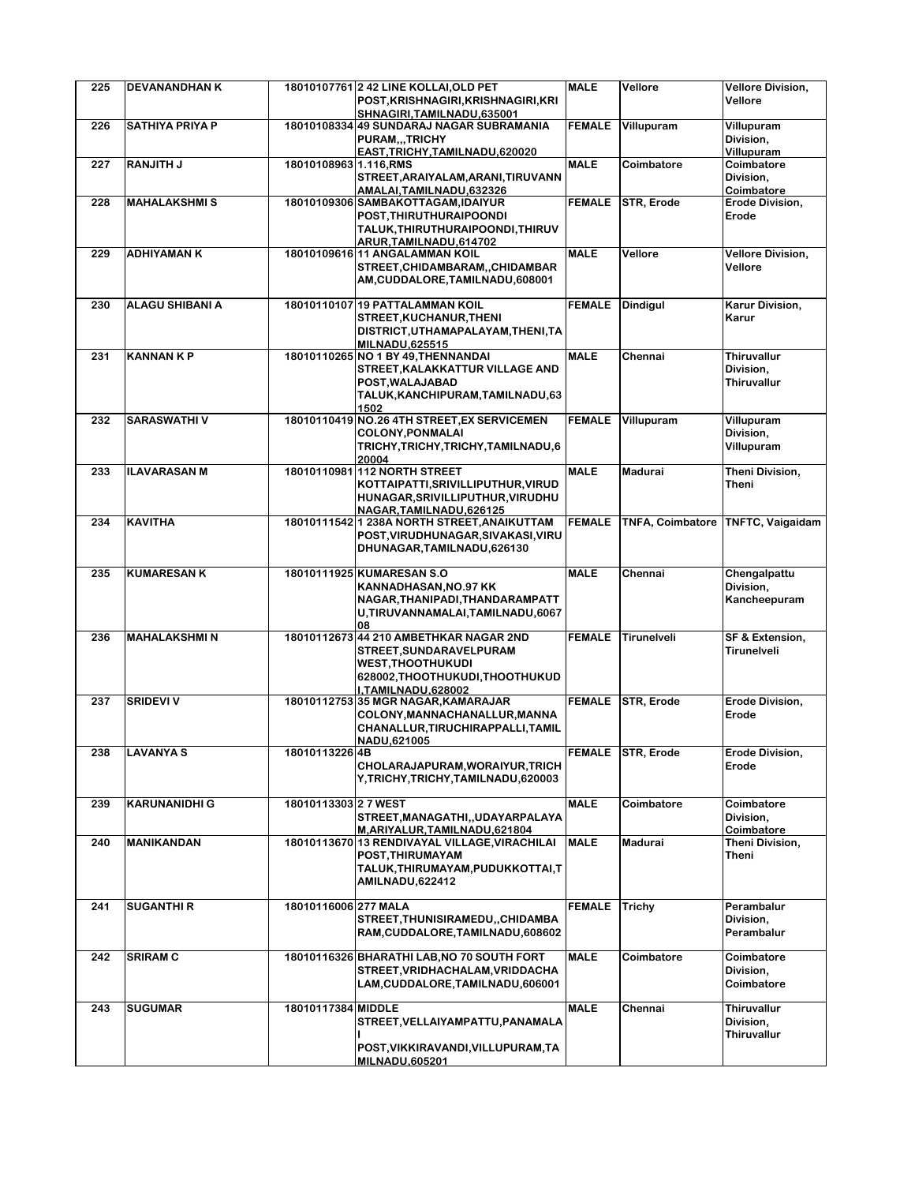| 225 | <b>DEVANANDHAN K</b>   |                        | 18010107761 2 42 LINE KOLLAI, OLD PET                       | <b>MALE</b>   | Vellore                 | <b>Vellore Division,</b>        |
|-----|------------------------|------------------------|-------------------------------------------------------------|---------------|-------------------------|---------------------------------|
|     |                        |                        | POST, KRISHNAGIRI, KRISHNAGIRI, KRI                         |               |                         | Vellore                         |
|     |                        |                        | SHNAGIRI, TAMILNADU, 635001                                 |               |                         |                                 |
| 226 | <b>SATHIYA PRIYA P</b> |                        | 18010108334 49 SUNDARAJ NAGAR SUBRAMANIA<br>PURAM,,,TRICHY  | <b>FEMALE</b> | Villupuram              | Villupuram<br>Division,         |
|     |                        |                        | EAST, TRICHY, TAMILNADU, 620020                             |               |                         | Villupuram                      |
| 227 | <b>RANJITH J</b>       | 18010108963 1.116, RMS |                                                             | <b>MALE</b>   | Coimbatore              | Coimbatore                      |
|     |                        |                        | STREET, ARAIYALAM, ARANI, TIRUVANN                          |               |                         | Division.                       |
|     |                        |                        | AMALAI, TAMILNADU, 632326                                   |               |                         | Coimbatore                      |
| 228 | <b>MAHALAKSHMIS</b>    |                        | 18010109306 SAMBAKOTTAGAM, IDAIYUR                          | <b>FEMALE</b> | STR, Erode              | <b>Erode Division,</b>          |
|     |                        |                        | POST, THIRUTHURAIPOONDI                                     |               |                         | Erode                           |
|     |                        |                        | TALUK, THIRUTHURAIPOONDI, THIRUV                            |               |                         |                                 |
| 229 | <b>ADHIYAMAN K</b>     |                        | ARUR, TAMILNADU, 614702<br>18010109616 11 ANGALAMMAN KOIL   | <b>MALE</b>   | Vellore                 | <b>Vellore Division,</b>        |
|     |                        |                        | STREET, CHIDAMBARAM, , CHIDAMBAR                            |               |                         | Vellore                         |
|     |                        |                        | AM,CUDDALORE,TAMILNADU,608001                               |               |                         |                                 |
|     |                        |                        |                                                             |               |                         |                                 |
| 230 | <b>ALAGU SHIBANI A</b> |                        | 18010110107 19 PATTALAMMAN KOIL                             | <b>FEMALE</b> | <b>Dindigul</b>         | Karur Division,                 |
|     |                        |                        | STREET, KUCHANUR, THENI                                     |               |                         | Karur                           |
|     |                        |                        | DISTRICT, UTHAMAPALAYAM, THENI, TA                          |               |                         |                                 |
| 231 | <b>KANNAN K P</b>      |                        | <b>MILNADU,625515</b><br>18010110265 NO 1 BY 49, THENNANDAI | <b>MALE</b>   | Chennai                 | <b>Thiruvallur</b>              |
|     |                        |                        | STREET, KALAKKATTUR VILLAGE AND                             |               |                         | Division,                       |
|     |                        |                        | POST, WALAJABAD                                             |               |                         | Thiruvallur                     |
|     |                        |                        | TALUK, KANCHIPURAM, TAMILNADU, 63                           |               |                         |                                 |
|     |                        |                        | 1502                                                        |               |                         |                                 |
| 232 | <b>SARASWATHIV</b>     |                        | 18010110419 NO.26 4TH STREET, EX SERVICEMEN                 | <b>FEMALE</b> | Villupuram              | Villupuram                      |
|     |                        |                        | <b>COLONY, PONMALAI</b>                                     |               |                         | Division,                       |
|     |                        |                        | TRICHY, TRICHY, TRICHY, TAMILNADU, 6                        |               |                         | Villupuram                      |
| 233 | <b>ILAVARASAN M</b>    |                        | 20004<br>18010110981 112 NORTH STREET                       | <b>MALE</b>   | Madurai                 | <b>Theni Division,</b>          |
|     |                        |                        | KOTTAIPATTI, SRIVILLIPUTHUR, VIRUD                          |               |                         | Theni                           |
|     |                        |                        | HUNAGAR, SRIVILLIPUTHUR, VIRUDHU                            |               |                         |                                 |
|     |                        |                        | NAGAR.TAMILNADU.626125                                      |               |                         |                                 |
| 234 | <b>KAVITHA</b>         |                        | 18010111542 1 238A NORTH STREET, ANAIKUTTAM                 | <b>FEMALE</b> | <b>TNFA, Coimbatore</b> | <b>TNFTC, Vaigaidam</b>         |
|     |                        |                        | POST, VIRUDHUNAGAR, SIVAKASI, VIRU                          |               |                         |                                 |
|     |                        |                        | DHUNAGAR, TAMILNADU, 626130                                 |               |                         |                                 |
| 235 | <b>KUMARESAN K</b>     |                        | 18010111925 KUMARESAN S.O                                   | <b>MALE</b>   | Chennai                 | Chengalpattu                    |
|     |                        |                        | KANNADHASAN, NO.97 KK                                       |               |                         | Division,                       |
|     |                        |                        | NAGAR, THANIPADI, THANDARAMPATT                             |               |                         | Kancheepuram                    |
|     |                        |                        | U,TIRUVANNAMALAI,TAMILNADU,6067                             |               |                         |                                 |
|     |                        |                        | 08                                                          |               |                         |                                 |
| 236 | <b>MAHALAKSHMIN</b>    |                        | 18010112673 44 210 AMBETHKAR NAGAR 2ND                      | <b>FEMALE</b> | Tirunelveli             | SF & Extension,                 |
|     |                        |                        | STREET, SUNDARAVELPURAM                                     |               |                         | Tirunelveli                     |
|     |                        |                        | <b>WEST, THOOTHUKUDI</b>                                    |               |                         |                                 |
|     |                        |                        | 628002, THOOTHUKUDI, THOOTHUKUD                             |               |                         |                                 |
| 237 | <b>SRIDEVI V</b>       |                        | I,TAMILNADU,628002<br>18010112753 35 MGR NAGAR, KAMARAJAR   | <b>FEMALE</b> | STR, Erode              | Erode Division,                 |
|     |                        |                        | COLONY, MANNACHANALLUR, MANNA                               |               |                         | Erode                           |
|     |                        |                        | CHANALLUR, TIRUCHIRAPPALLI, TAMIL                           |               |                         |                                 |
|     |                        |                        | NADU,621005                                                 |               |                         |                                 |
| 238 | LAVANYA S              | 18010113226 4B         |                                                             | <b>FEMALE</b> | <b>STR, Erode</b>       | <b>Erode Division,</b>          |
|     |                        |                        | CHOLARAJAPURAM, WORAIYUR, TRICH                             |               |                         | Erode                           |
|     |                        |                        | Y,TRICHY,TRICHY,TAMILNADU,620003                            |               |                         |                                 |
| 239 | <b>KARUNANIDHI G</b>   | 18010113303 2 7 WEST   |                                                             | <b>MALE</b>   | Coimbatore              | Coimbatore                      |
|     |                        |                        | STREET, MANAGATHI, , UDAYARPALAYA                           |               |                         | Division.                       |
|     |                        |                        | M, ARIYALUR, TAMILNADU, 621804                              |               |                         | Coimbatore                      |
| 240 | <b>MANIKANDAN</b>      |                        | 18010113670 13 RENDIVAYAL VILLAGE, VIRACHILAI               | <b>MALE</b>   | Madurai                 | Theni Division,                 |
|     |                        |                        | POST, THIRUMAYAM                                            |               |                         | Theni                           |
|     |                        |                        | TALUK, THIRUMAYAM, PUDUKKOTTAI, T                           |               |                         |                                 |
|     |                        |                        | AMILNADU,622412                                             |               |                         |                                 |
| 241 | <b>SUGANTHI R</b>      | 18010116006 277 MALA   |                                                             | <b>FEMALE</b> |                         | Perambalur                      |
|     |                        |                        | STREET.THUNISIRAMEDUCHIDAMBA                                |               | <b>Trichy</b>           | Division,                       |
|     |                        |                        | RAM, CUDDALORE, TAMILNADU, 608602                           |               |                         | Perambalur                      |
|     |                        |                        |                                                             |               |                         |                                 |
| 242 | <b>SRIRAM C</b>        |                        | 18010116326 BHARATHI LAB, NO 70 SOUTH FORT                  | <b>MALE</b>   | Coimbatore              | Coimbatore                      |
|     |                        |                        | STREET, VRIDHACHALAM, VRIDDACHA                             |               |                         | Division,                       |
|     |                        |                        | LAM, CUDDALORE, TAMILNADU, 606001                           |               |                         | Coimbatore                      |
|     |                        |                        |                                                             |               |                         |                                 |
| 243 | <b>SUGUMAR</b>         | 18010117384 MIDDLE     | STREET, VELLAIYAMPATTU, PANAMALA                            | <b>MALE</b>   | Chennai                 | <b>Thiruvallur</b><br>Division, |
|     |                        |                        |                                                             |               |                         | <b>Thiruvallur</b>              |
|     |                        |                        | POST, VIKKIRAVANDI, VILLUPURAM, TA                          |               |                         |                                 |
|     |                        |                        | <b>MILNADU,605201</b>                                       |               |                         |                                 |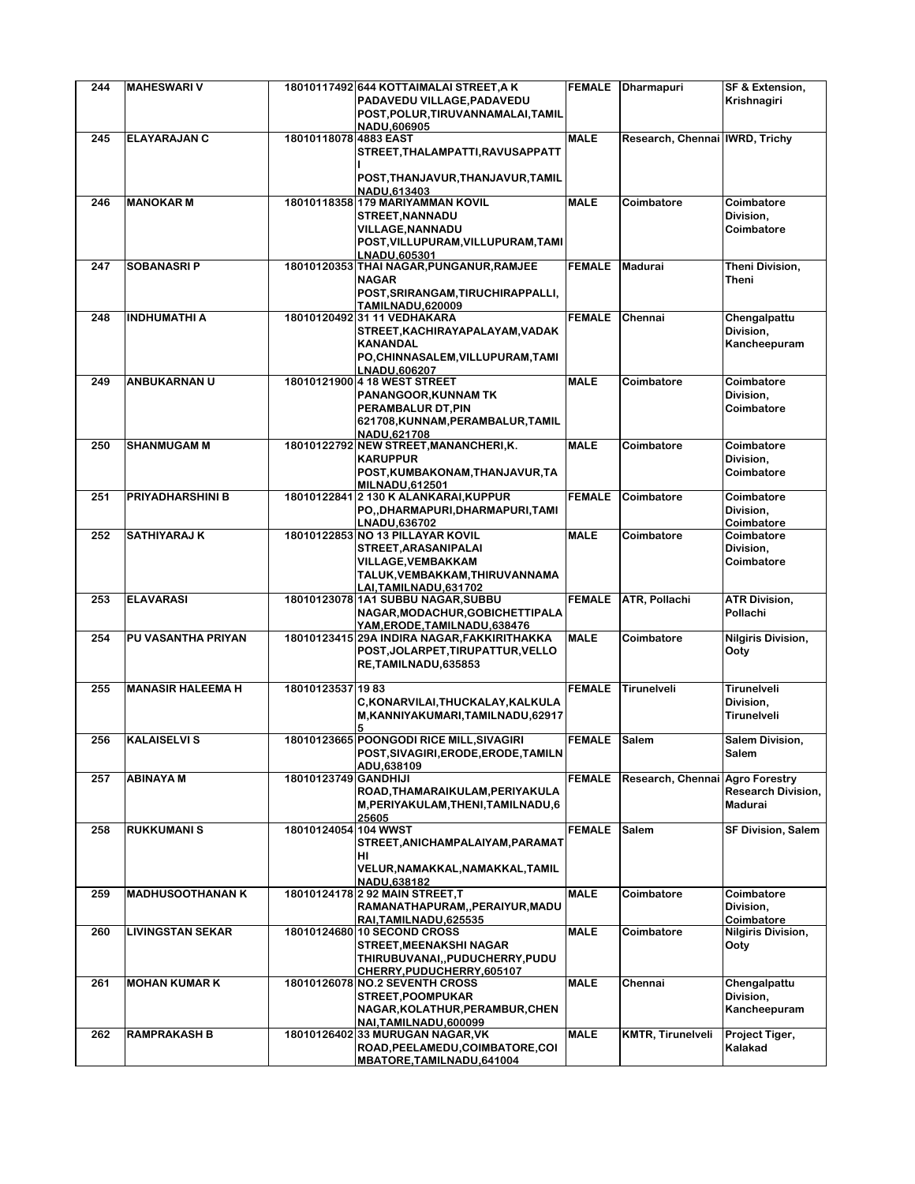| 244 | <b>MAHESWARI V</b>       |                       | 18010117492 644 KOTTAIMALAI STREET, A K                          |               | FEMALE Dharmapuri               | SF & Extension,           |
|-----|--------------------------|-----------------------|------------------------------------------------------------------|---------------|---------------------------------|---------------------------|
|     |                          |                       | PADAVEDU VILLAGE, PADAVEDU                                       |               |                                 | Krishnagiri               |
|     |                          |                       | POST, POLUR, TIRUVANNAMALAI, TAMIL                               |               |                                 |                           |
|     |                          |                       | NADU.606905                                                      |               |                                 |                           |
| 245 | <b>ELAYARAJAN C</b>      | 18010118078 4883 EAST |                                                                  | <b>MALE</b>   | Research, Chennai IWRD, Trichy  |                           |
|     |                          |                       | STREET, THALAMPATTI, RAVUSAPPATT                                 |               |                                 |                           |
|     |                          |                       | POST, THANJAVUR, THANJAVUR, TAMIL                                |               |                                 |                           |
|     |                          |                       | NADU, 613403                                                     |               |                                 |                           |
| 246 | <b>MANOKAR M</b>         |                       | 18010118358 179 MARIYAMMAN KOVIL                                 | <b>MALE</b>   | Coimbatore                      | Coimbatore                |
|     |                          |                       | <b>STREET, NANNADU</b>                                           |               |                                 | Division,                 |
|     |                          |                       | <b>VILLAGE, NANNADU</b>                                          |               |                                 | Coimbatore                |
|     |                          |                       | POST, VILLUPURAM, VILLUPURAM, TAMI                               |               |                                 |                           |
| 247 | SOBANASRI P              |                       | LNADU.605301                                                     | <b>FEMALE</b> | <b>Madurai</b>                  | Theni Division,           |
|     |                          |                       | 18010120353 THAI NAGAR, PUNGANUR, RAMJEE<br><b>NAGAR</b>         |               |                                 | Theni                     |
|     |                          |                       | POST, SRIRANGAM, TIRUCHIRAPPALLI,                                |               |                                 |                           |
|     |                          |                       | <b>TAMILNADU,620009</b>                                          |               |                                 |                           |
| 248 | <b>INDHUMATHI A</b>      |                       | 18010120492 31 11 VEDHAKARA                                      | <b>FEMALE</b> | Chennai                         | Chengalpattu              |
|     |                          |                       | STREET, KACHIRAYAPALAYAM, VADAK                                  |               |                                 | Division,                 |
|     |                          |                       | <b>KANANDAL</b>                                                  |               |                                 | Kancheepuram              |
|     |                          |                       | PO, CHINNASALEM, VILLUPURAM, TAMI                                |               |                                 |                           |
| 249 | <b>ANBUKARNAN U</b>      |                       | LNADU,606207<br>18010121900 4 18 WEST STREET                     | <b>MALE</b>   | Coimbatore                      | Coimbatore                |
|     |                          |                       | <b>PANANGOOR, KUNNAM TK</b>                                      |               |                                 | Division.                 |
|     |                          |                       | PERAMBALUR DT, PIN                                               |               |                                 | Coimbatore                |
|     |                          |                       | 621708, KUNNAM, PERAMBALUR, TAMIL                                |               |                                 |                           |
|     |                          |                       | NADU,621708                                                      |               |                                 |                           |
| 250 | <b>SHANMUGAM M</b>       |                       | 18010122792 NEW STREET, MANANCHERI, K.                           | <b>MALE</b>   | Coimbatore                      | Coimbatore                |
|     |                          |                       | <b>KARUPPUR</b>                                                  |               |                                 | Division,                 |
|     |                          |                       | POST, KUMBAKONAM, THANJAVUR, TA                                  |               |                                 | Coimbatore                |
|     |                          |                       | <b>MILNADU.612501</b>                                            |               |                                 |                           |
| 251 | PRIYADHARSHINI B         |                       | 18010122841 2 130 K ALANKARAI, KUPPUR                            | <b>FEMALE</b> | Coimbatore                      | Coimbatore                |
|     |                          |                       | PO,, DHARMAPURI, DHARMAPURI, TAMI                                |               |                                 | Division,                 |
| 252 | <b>SATHIYARAJ K</b>      |                       | LNADU,636702<br>18010122853 NO 13 PILLAYAR KOVIL                 | <b>MALE</b>   | Coimbatore                      | Coimbatore<br>Coimbatore  |
|     |                          |                       | STREET, ARASANIPALAI                                             |               |                                 | Division,                 |
|     |                          |                       | <b>VILLAGE, VEMBAKKAM</b>                                        |               |                                 | Coimbatore                |
|     |                          |                       | TALUK, VEMBAKKAM, THIRUVANNAMA                                   |               |                                 |                           |
|     |                          |                       | LAI,TAMILNADU,631702                                             |               |                                 |                           |
| 253 | <b>ELAVARASI</b>         |                       | 18010123078 1A1 SUBBU NAGAR, SUBBU                               | <b>FEMALE</b> | <b>ATR, Pollachi</b>            | <b>ATR Division,</b>      |
|     |                          |                       | NAGAR, MODACHUR, GOBICHETTIPALA                                  |               |                                 | Pollachi                  |
|     |                          |                       | YAM,ERODE,TAMILNADU,638476                                       |               |                                 |                           |
| 254 | PU VASANTHA PRIYAN       |                       | 18010123415 29A INDIRA NAGAR, FAKKIRITHAKKA                      | <b>MALE</b>   | Coimbatore                      | <b>Nilgiris Division,</b> |
|     |                          |                       | POST, JOLARPET, TIRUPATTUR, VELLO                                |               |                                 | Ooty                      |
|     |                          |                       | RE, TAMILNADU, 635853                                            |               |                                 |                           |
| 255 | <b>MANASIR HALEEMA H</b> | 18010123537 1983      |                                                                  | <b>FEMALE</b> | Tirunelveli                     | Tirunelveli               |
|     |                          |                       | C,KONARVILAI,THUCKALAY,KALKULA                                   |               |                                 | Division,                 |
|     |                          |                       | M,KANNIYAKUMARI,TAMILNADU,62917                                  |               |                                 | Tirunelveli               |
|     |                          |                       |                                                                  |               |                                 |                           |
| 256 | <b>KALAISELVIS</b>       |                       | 18010123665 POONGODI RICE MILL, SIVAGIRI                         | <b>FEMALE</b> | <b>Salem</b>                    | Salem Division,           |
|     |                          |                       | POST,SIVAGIRI,ERODE,ERODE,TAMILN                                 |               |                                 | Salem                     |
| 257 | <b>ABINAYAM</b>          | 18010123749 GANDHIJI  | ADU,638109                                                       | <b>FEMALE</b> | Research, Chennai Agro Forestry |                           |
|     |                          |                       | ROAD, THAMARAIKULAM, PERIYAKULA                                  |               |                                 | <b>Research Division,</b> |
|     |                          |                       | M, PERIYAKULAM, THENI, TAMILNADU, 6                              |               |                                 | Madurai                   |
|     |                          |                       | 25605                                                            |               |                                 |                           |
| 258 | <b>RUKKUMANIS</b>        | 18010124054 104 WWST  |                                                                  | <b>FEMALE</b> | <b>Salem</b>                    | <b>SF Division, Salem</b> |
|     |                          |                       | STREET, ANICHAMPALAIYAM, PARAMAT                                 |               |                                 |                           |
|     |                          |                       | HI                                                               |               |                                 |                           |
|     |                          |                       | VELUR, NAMAKKAL, NAMAKKAL, TAMIL                                 |               |                                 |                           |
| 259 | <b>MADHUSOOTHANAN K</b>  |                       | NADU,638182                                                      | <b>MALE</b>   |                                 |                           |
|     |                          |                       | 18010124178 2 92 MAIN STREET, T<br>RAMANATHAPURAM,,PERAIYUR,MADU |               | Coimbatore                      | Coimbatore<br>Division,   |
|     |                          |                       | RAI, TAMILNADU, 625535                                           |               |                                 | Coimbatore                |
| 260 | <b>LIVINGSTAN SEKAR</b>  |                       | 18010124680 10 SECOND CROSS                                      | <b>MALE</b>   | Coimbatore                      | <b>Nilgiris Division,</b> |
|     |                          |                       | <b>STREET, MEENAKSHI NAGAR</b>                                   |               |                                 | Ooty                      |
|     |                          |                       | THIRUBUVANAI,, PUDUCHERRY, PUDU                                  |               |                                 |                           |
|     |                          |                       | CHERRY, PUDUCHERRY, 605107                                       |               |                                 |                           |
| 261 | <b>MOHAN KUMAR K</b>     |                       | 18010126078 NO.2 SEVENTH CROSS                                   | <b>MALE</b>   | Chennai                         | Chengalpattu              |
|     |                          |                       | <b>STREET, POOMPUKAR</b>                                         |               |                                 | Division,                 |
|     |                          |                       | NAGAR, KOLATHUR, PERAMBUR, CHEN                                  |               |                                 | Kancheepuram              |
| 262 | <b>RAMPRAKASH B</b>      |                       | NAI,TAMILNADU,600099<br>18010126402 33 MURUGAN NAGAR, VK         | <b>MALE</b>   | <b>KMTR, Tirunelveli</b>        | Project Tiger,            |
|     |                          |                       | ROAD, PEELAMEDU, COIMBATORE, COI                                 |               |                                 | Kalakad                   |
|     |                          |                       | MBATORE, TAMILNADU, 641004                                       |               |                                 |                           |
|     |                          |                       |                                                                  |               |                                 |                           |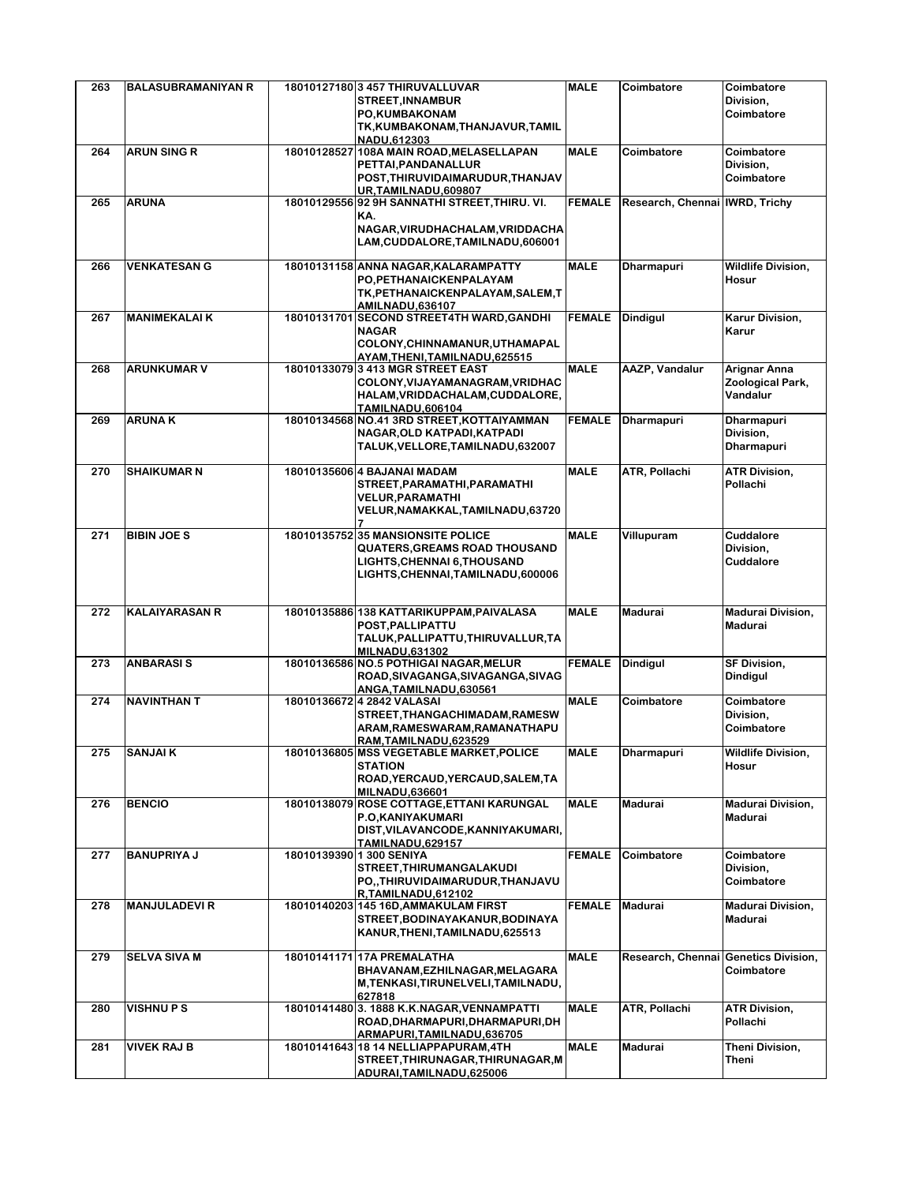| 263 | <b>BALASUBRAMANIYAN R</b> | 18010127180 3 457 THIRUVALLUVAR<br><b>STREET, INNAMBUR</b>                                                                                     | <b>MALE</b>   | Coimbatore                           | Coimbatore<br>Division,                      |
|-----|---------------------------|------------------------------------------------------------------------------------------------------------------------------------------------|---------------|--------------------------------------|----------------------------------------------|
|     |                           | PO, KUMBAKONAM<br>TK, KUMBAKONAM, THANJAVUR, TAMIL<br>NADU, 612303                                                                             |               |                                      | Coimbatore                                   |
| 264 | <b>ARUN SING R</b>        | 18010128527 108A MAIN ROAD, MELASELLAPAN                                                                                                       | <b>MALE</b>   | Coimbatore                           | Coimbatore                                   |
|     |                           | PETTAI.PANDANALLUR<br>POST, THIRUVIDAIMARUDUR, THANJAV                                                                                         |               |                                      | Division,<br>Coimbatore                      |
| 265 | <b>ARUNA</b>              | UR, TAMILNADU, 609807<br>18010129556 92 9H SANNATHI STREET, THIRU. VI.                                                                         | <b>FEMALE</b> | Research, Chennai   IWRD, Trichy     |                                              |
|     |                           | KA.<br>NAGAR, VIRUDHACHALAM, VRIDDACHA<br>LAM, CUDDALORE, TAMILNADU, 606001                                                                    |               |                                      |                                              |
| 266 | <b>VENKATESAN G</b>       | 18010131158 ANNA NAGAR, KALARAMPATTY<br>PO, PETHANAICKENPALAYAM<br>TK, PETHANAICKENPALAYAM, SALEM, T<br><b>AMILNADU,636107</b>                 | <b>MALE</b>   | <b>Dharmapuri</b>                    | <b>Wildlife Division,</b><br>Hosur           |
| 267 | <b>MANIMEKALAI K</b>      | 18010131701 SECOND STREET4TH WARD, GANDHI<br><b>NAGAR</b><br>COLONY, CHINNAMANUR, UTHAMAPAL                                                    | <b>FEMALE</b> | <b>Dindigul</b>                      | <b>Karur Division,</b><br>Karur              |
| 268 | <b>ARUNKUMAR V</b>        | AYAM, THENI, TAMILNADU, 625515<br>18010133079 3 413 MGR STREET EAST                                                                            | <b>MALE</b>   | <b>AAZP, Vandalur</b>                | Arignar Anna                                 |
|     |                           | COLONY, VIJAYAMANAGRAM, VRIDHAC<br>HALAM, VRIDDACHALAM, CUDDALORE,<br><b>TAMILNADU,606104</b>                                                  |               |                                      | Zoological Park,<br>Vandalur                 |
| 269 | <b>ARUNAK</b>             | 18010134568 NO.41 3RD STREET, KOTTAIYAMMAN<br>NAGAR, OLD KATPADI, KATPADI<br>TALUK, VELLORE, TAMILNADU, 632007                                 | <b>FEMALE</b> | <b>Dharmapuri</b>                    | Dharmapuri<br>Division,<br><b>Dharmapuri</b> |
| 270 | <b>SHAIKUMAR N</b>        | 18010135606 4 BAJANAI MADAM<br>STREET, PARAMATHI, PARAMATHI<br><b>VELUR, PARAMATHI</b><br>VELUR, NAMAKKAL, TAMILNADU, 63720                    | <b>MALE</b>   | ATR, Pollachi                        | <b>ATR Division,</b><br>Pollachi             |
| 271 | <b>BIBIN JOE S</b>        | 18010135752 35 MANSIONSITE POLICE<br><b>QUATERS, GREAMS ROAD THOUSAND</b><br>LIGHTS, CHENNAI 6, THOUSAND<br>LIGHTS, CHENNAI, TAMILNADU, 600006 | <b>MALE</b>   | Villupuram                           | Cuddalore<br>Division,<br>Cuddalore          |
| 272 | <b>KALAIYARASAN R</b>     | 18010135886 138 KATTARIKUPPAM, PAIVALASA<br>POST, PALLIPATTU<br>TALUK, PALLIPATTU, THIRUVALLUR, TA<br><b>MILNADU,631302</b>                    | <b>MALE</b>   | Madurai                              | <b>Madurai Division,</b><br>Madurai          |
| 273 | <b>ANBARASIS</b>          | 18010136586 NO.5 POTHIGAI NAGAR, MELUR<br>ROAD, SIVAGANGA, SIVAGANGA, SIVAG<br>ANGA.TAMILNADU.630561                                           | <b>FEMALE</b> | <b>Dindigul</b>                      | <b>SF Division,</b><br><b>Dindigul</b>       |
| 274 | <b>NAVINTHAN T</b>        | 18010136672 4 2842 VALASAI<br>STREET, THANGACHIMADAM, RAMESW<br>ARAM, RAMESWARAM, RAMANATHAPU<br>RAM, TAMILNADU, 623529                        | <b>MALE</b>   | Coimbatore                           | Coimbatore<br>Division,<br>Coimbatore        |
| 275 | <b>SANJAI K</b>           | 18010136805 MSS VEGETABLE MARKET, POLICE<br><b>STATION</b><br>ROAD, YERCAUD, YERCAUD, SALEM, TA<br><b>MILNADU,636601</b>                       | <b>MALE</b>   | <b>Dharmapuri</b>                    | Wildlife Division,<br>Hosur                  |
| 276 | <b>BENCIO</b>             | 18010138079 ROSE COTTAGE, ETTANI KARUNGAL<br>P.O.KANIYAKUMARI<br>DIST, VILAVANCODE, KANNIYAKUMARI,<br><b>TAMILNADU,629157</b>                  | <b>MALE</b>   | Madurai                              | <b>Madurai Division,</b><br>Madurai          |
| 277 | <b>BANUPRIYA J</b>        | 18010139390 1 300 SENIYA<br>STREET, THIRUMANGALAKUDI<br>PO,,THIRUVIDAIMARUDUR,THANJAVU<br>R,TAMILNADU,612102                                   | <b>FEMALE</b> | Coimbatore                           | Coimbatore<br>Division,<br>Coimbatore        |
| 278 | <b>MANJULADEVIR</b>       | 18010140203 145 16D, AMMAKULAM FIRST<br>STREET, BODINAYAKANUR, BODINAYA<br>KANUR, THENI, TAMILNADU, 625513                                     | <b>FEMALE</b> | <b>Madurai</b>                       | <b>Madurai Division,</b><br>Madurai          |
| 279 | <b>SELVA SIVA M</b>       | 18010141171 17A PREMALATHA<br>BHAVANAM, EZHILNAGAR, MELAGARA<br>M,TENKASI,TIRUNELVELI,TAMILNADU,<br>627818                                     | <b>MALE</b>   | Research, Chennai Genetics Division, | Coimbatore                                   |
| 280 | <b>VISHNUPS</b>           | 18010141480 3. 1888 K.K.NAGAR, VENNAMPATTI<br>ROAD, DHARMAPURI, DHARMAPURI, DH<br>ARMAPURI, TAMILNADU, 636705                                  | <b>MALE</b>   | ATR, Pollachi                        | <b>ATR Division,</b><br>Pollachi             |
| 281 | <b>VIVEK RAJ B</b>        | 18010141643 18 14 NELLIAPPAPURAM, 4TH<br>STREET, THIRUNAGAR, THIRUNAGAR, M<br>ADURAI, TAMILNADU, 625006                                        | <b>MALE</b>   | Madurai                              | Theni Division,<br>Theni                     |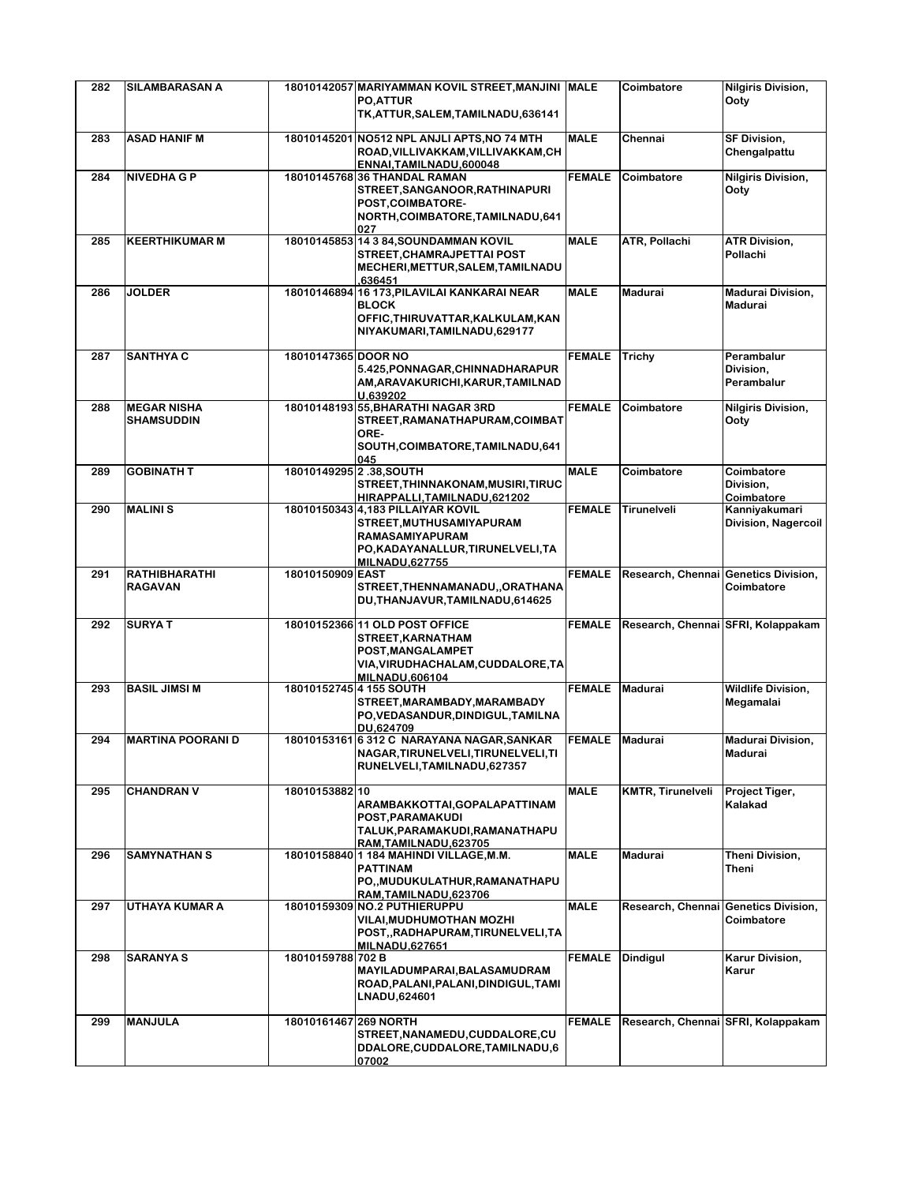| 282 | <b>SILAMBARASAN A</b>                   |                         | 18010142057 MARIYAMMAN KOVIL STREET, MANJINI MALE<br><b>PO.ATTUR</b><br>TK, ATTUR, SALEM, TAMILNADU, 636141                                                 |                | Coimbatore                           | <b>Nilgiris Division,</b><br>Ootv      |
|-----|-----------------------------------------|-------------------------|-------------------------------------------------------------------------------------------------------------------------------------------------------------|----------------|--------------------------------------|----------------------------------------|
| 283 | <b>ASAD HANIF M</b>                     |                         | 18010145201 NO512 NPL ANJLI APTS, NO 74 MTH<br>ROAD, VILLIVAKKAM, VILLIVAKKAM, CH                                                                           | <b>MALE</b>    | Chennai                              | <b>SF Division,</b><br>Chengalpattu    |
| 284 | <b>NIVEDHAGP</b>                        |                         | ENNAI, TAMILNADU, 600048<br>18010145768 36 THANDAL RAMAN<br>STREET, SANGANOOR, RATHINAPURI<br>POST, COIMBATORE-<br>NORTH, COIMBATORE, TAMILNADU, 641<br>027 | <b>FEMALE</b>  | Coimbatore                           | Nilgiris Division,<br>Ooty             |
| 285 | <b>KEERTHIKUMAR M</b>                   |                         | 18010145853 14 3 84, SOUNDAMMAN KOVIL<br>STREET, CHAMRAJPETTAI POST<br>MECHERI, METTUR, SALEM, TAMILNADU<br>636451,                                         | <b>MALE</b>    | ATR, Pollachi                        | <b>ATR Division,</b><br>Pollachi       |
| 286 | <b>JOLDER</b>                           |                         | 18010146894 16 173, PILAVILAI KANKARAI NEAR<br><b>BLOCK</b><br>OFFIC, THIRUVATTAR, KALKULAM, KAN<br>NIYAKUMARI, TAMILNADU, 629177                           | <b>MALE</b>    | <b>Madurai</b>                       | <b>Madurai Division,</b><br>Madurai    |
| 287 | <b>SANTHYA C</b>                        | 18010147365 DOOR NO     | 5.425, PONNAGAR, CHINNADHARAPUR<br>AM, ARAVAKURICHI, KARUR, TAMILNAD<br>U.639202                                                                            | <b>FEMALE</b>  | <b>Trichy</b>                        | Perambalur<br>Division,<br>Perambalur  |
| 288 | <b>MEGAR NISHA</b><br><b>SHAMSUDDIN</b> |                         | 18010148193 55, BHARATHI NAGAR 3RD<br>STREET, RAMANATHAPURAM, COIMBAT<br>ORE-<br>SOUTH, COIMBATORE, TAMILNADU, 641<br>045                                   | <b>FEMALE</b>  | Coimbatore                           | <b>Nilgiris Division,</b><br>Ooty      |
| 289 | <b>GOBINATH T</b>                       | 18010149295 2.38, SOUTH | STREET, THINNAKONAM, MUSIRI, TIRUC<br>HIRAPPALLI, TAMILNADU, 621202                                                                                         | <b>MALE</b>    | Coimbatore                           | Coimbatore<br>Division,<br>Coimbatore  |
| 290 | <b>MALINIS</b>                          |                         | 18010150343 4,183 PILLAIYAR KOVIL<br>STREET, MUTHUSAMIYAPURAM<br>RAMASAMIYAPURAM<br>PO,KADAYANALLUR,TIRUNELVELI,TA<br><b>MILNADU,627755</b>                 | <b>FEMALE</b>  | Tirunelveli                          | Kanniyakumari<br>Division, Nagercoil   |
| 291 | <b>RATHIBHARATHI</b><br><b>RAGAVAN</b>  | 18010150909 EAST        | STREET, THENNAMANADU, , ORATHANA<br>DU, THANJAVUR, TAMILNADU, 614625                                                                                        | <b>FEMALE</b>  | Research, Chennai Genetics Division, | Coimbatore                             |
| 292 | <b>SURYAT</b>                           |                         | 18010152366 11 OLD POST OFFICE<br>STREET, KARNATHAM<br>POST, MANGALAMPET<br>VIA, VIRUDHACHALAM, CUDDALORE, TA<br><b>MILNADU,606104</b>                      | <b>FEMALE</b>  | Research, Chennai SFRI, Kolappakam   |                                        |
| 293 | <b>BASIL JIMSI M</b>                    |                         | 18010152745 4 155 SOUTH<br>STREET, MARAMBADY, MARAMBADY<br>PO, VEDASANDUR, DINDIGUL, TAMILNA<br>DU,624709                                                   | <b>FEMALE</b>  | <b>Madurai</b>                       | <b>Wildlife Division,</b><br>Megamalai |
| 294 | <b>MARTINA POORANI D</b>                |                         | 18010153161 6 312 C NARAYANA NAGAR, SANKAR<br>NAGAR, TIRUNELVELI, TIRUNELVELI, TI<br>RUNELVELI, TAMILNADU, 627357                                           | FEMALE Madurai |                                      | <b>Madurai Division,</b><br>Madurai    |
| 295 | <b>CHANDRAN V</b>                       | 18010153882 10          | ARAMBAKKOTTAI, GOPALAPATTINAM<br>POST, PARAMAKUDI<br>TALUK, PARAMAKUDI, RAMANATHAPU<br>RAM.TAMILNADU.623705                                                 | <b>MALE</b>    | <b>KMTR, Tirunelveli</b>             | Project Tiger,<br>Kalakad              |
| 296 | <b>SAMYNATHAN S</b>                     |                         | 18010158840 1 184 MAHINDI VILLAGE, M.M.<br><b>PATTINAM</b><br>PO., MUDUKULATHUR, RAMANATHAPU<br>RAM, TAMILNADU, 623706                                      | <b>MALE</b>    | <b>Madurai</b>                       | Theni Division,<br>Theni               |
| 297 | UTHAYA KUMAR A                          |                         | 18010159309 NO.2 PUTHIERUPPU<br><b>VILAI, MUDHUMOTHAN MOZHI</b><br>POST,,RADHAPURAM,TIRUNELVELI,TA<br><b>MILNADU.627651</b>                                 | <b>MALE</b>    | Research, Chennai Genetics Division, | Coimbatore                             |
| 298 | <b>SARANYA S</b>                        | 18010159788 702 B       | MAYILADUMPARAI, BALASAMUDRAM<br>ROAD, PALANI, PALANI, DINDIGUL, TAMI<br>LNADU,624601                                                                        | <b>FEMALE</b>  | <b>Dindigul</b>                      | Karur Division,<br>Karur               |
| 299 | <b>MANJULA</b>                          | 18010161467 269 NORTH   | STREET, NANAMEDU, CUDDALORE, CU<br>DDALORE, CUDDALORE, TAMILNADU, 6<br>07002                                                                                | <b>FEMALE</b>  | Research, Chennai SFRI, Kolappakam   |                                        |